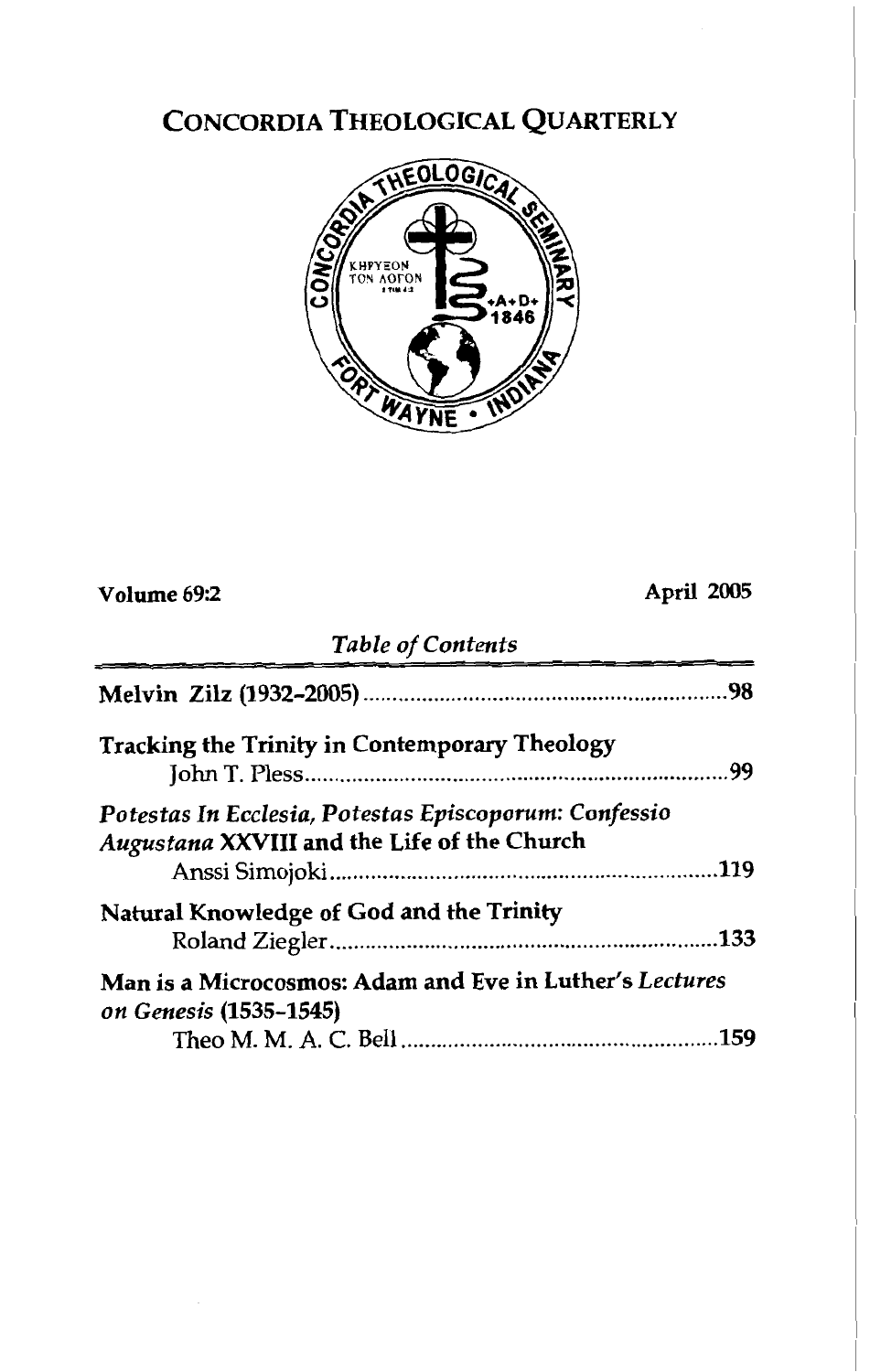# CONCORDIA THEOLOGICAL QUARTERLY



| Volume 69:2                                                                                          | April 2005 |
|------------------------------------------------------------------------------------------------------|------------|
| <b>Table of Contents</b>                                                                             |            |
|                                                                                                      |            |
| Tracking the Trinity in Contemporary Theology                                                        |            |
| Potestas In Ecclesia, Potestas Episcoporum: Confessio<br>Augustana XXVIII and the Life of the Church |            |
| Natural Knowledge of God and the Trinity                                                             |            |
| Man is a Microcosmos: Adam and Eve in Luther's Lectures<br>on Genesis (1535-1545)                    |            |
|                                                                                                      |            |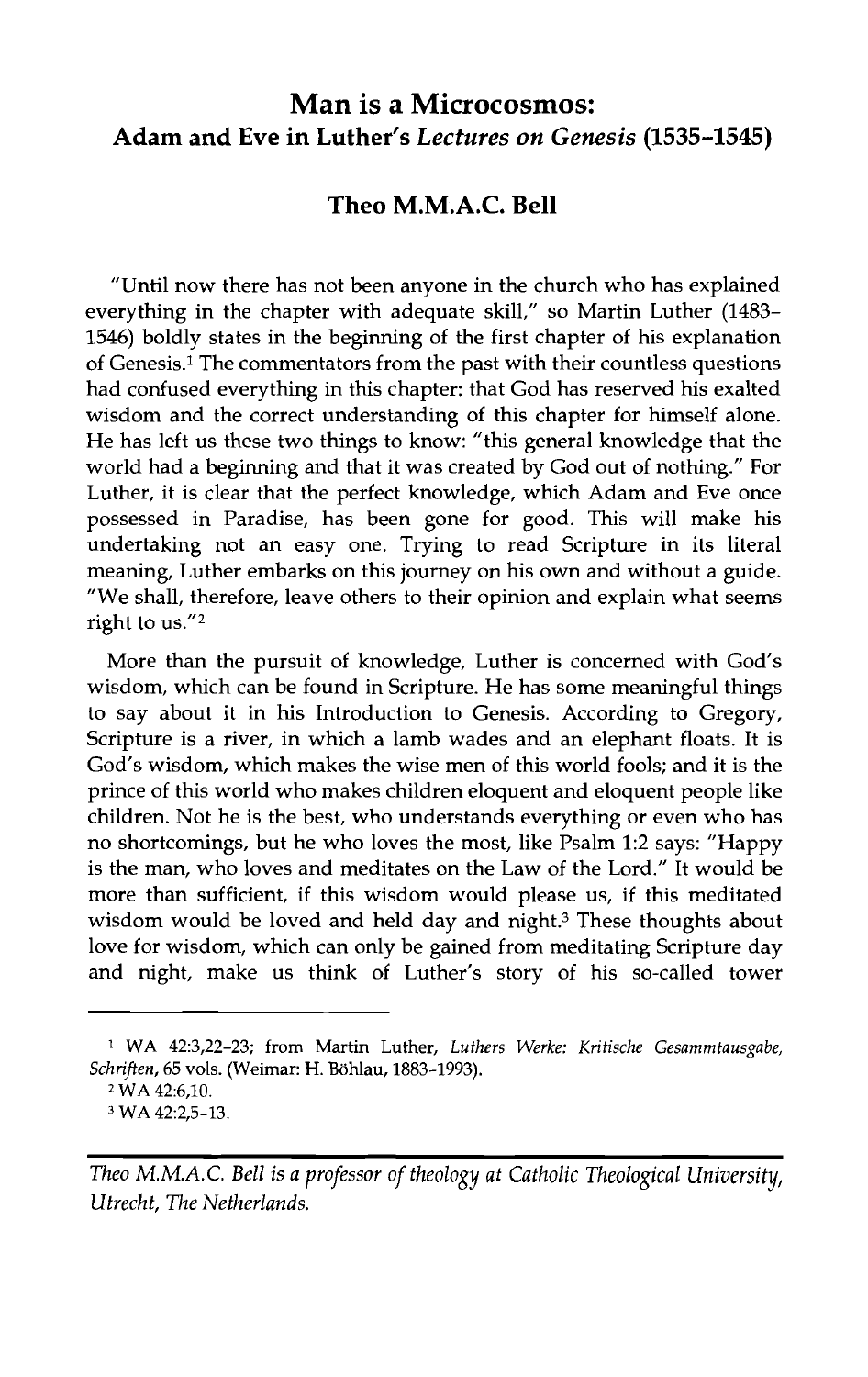# **Man is a Microcosmos: Adam and Eve in Luther's** *Lectures* **on** *Genesis* **(1535-1545)**

## **Theo M.M.A.C. Bell**

"Until now there has not been anyone in the church who has explained everything in the chapter with adequate skill," so Martin Luther (1483- 1546) boldly states in the beginning of the first chapter of his explanation of Genesis.' The commentators from the past with their countless questions had confused everything in this chapter: that God has reserved his exalted wisdom and the correct understanding of this chapter for himself alone. He has left us these two things to know: "this general knowledge that the world had a beginning and that it was created by God out of nothing." For Luther, it is clear that the perfect knowledge, which Adam and Eve once possessed in Paradise, has been gone for good. This will make his undertaking not an easy one. Trying to read Scripture in its literal meaning, Luther embarks on this journey on his own and without a guide. "We shall, therefore, leave others to their opinion and explain what seems right to us. $''<sup>2</sup>$ 

More than the pursuit of knowledge, Luther is concerned with God's wisdom, which can be found in Scripture. He has some meaningful things to say about it in his Introduction to Genesis. According to Gregory, Scripture is a river, in which a lamb wades and an elephant floats. It is God's wisdom, which makes the wise men of this world fools; and it is the prince of this world who makes children eloquent and eloquent people like children. Not he is the best, who understands everything or even who has no shortcomings, but he who loves the most, like Psalm 1:2 says: "Happy is the man, who loves and meditates on the Law of the Lord." It would be more than sufficient, if this wisdom would please us, if this meditated wisdom would be loved and held day and night.<sup>3</sup> These thoughts about love for wisdom, which can only be gained from meditating Scripture day and night, make us think of Luther's story of his so-called tower

<sup>1</sup>**WA 42:3,22-23; from Martin Luther,** *Luthers Werke: Kritische Gesammtausgabe, Schriften,* **65 vols. (Weimar: H. Bohlau, 1883-1993).** 

**<sup>2</sup>WA 42:6,10.** 

**<sup>3</sup> WA 422.5-13.** 

*Theo M.M.A.C. Bell is a professor of theology at Catholic Theological University, Utrecht, The Netherlands.*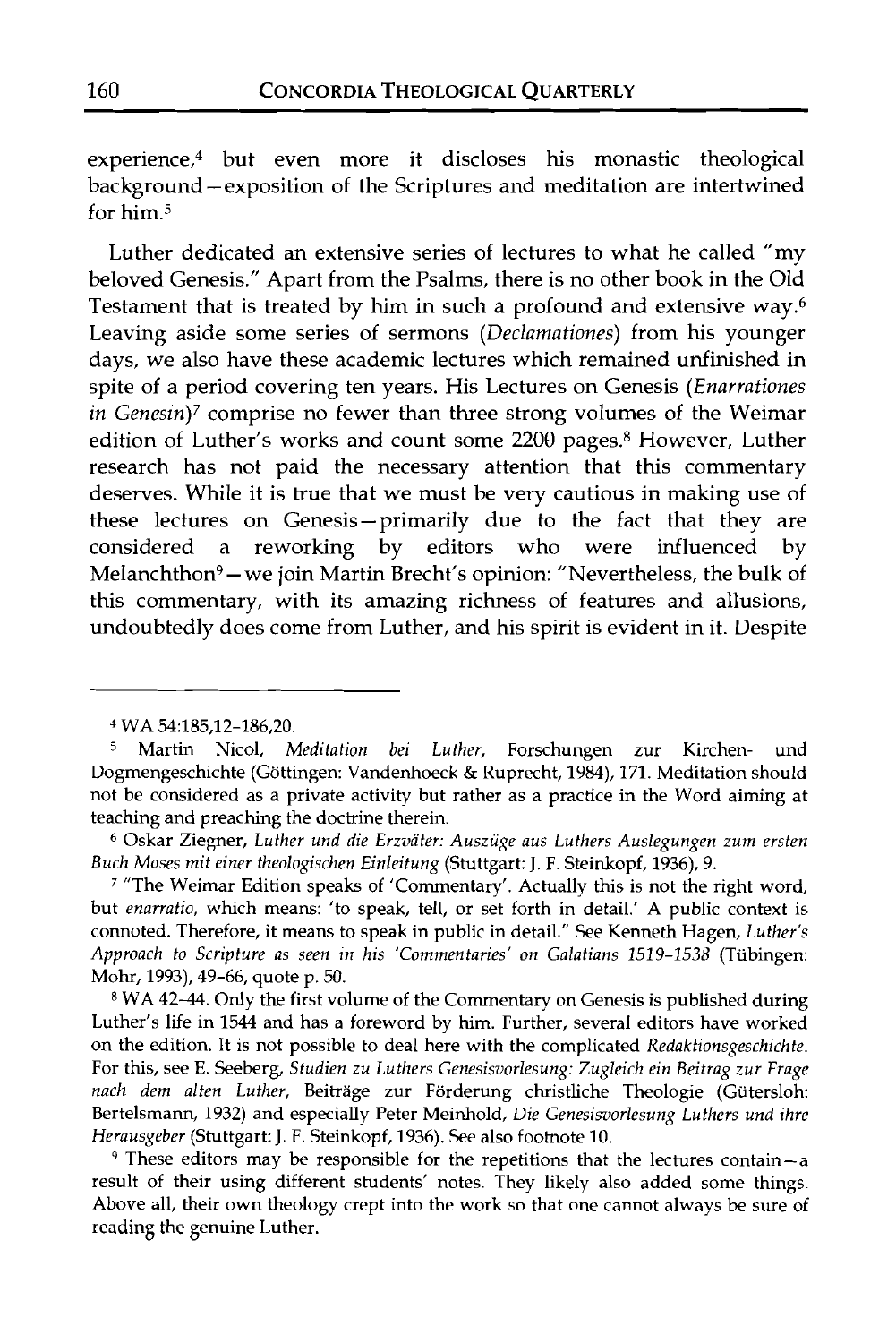experience,4 but even more it discloses his monastic theological background -exposition of the Scriptures and meditation are intertwined for him. $5$ 

Luther dedicated an extensive series of lectures to what he called "my beloved Genesis." Apart from the Psalms, there is no other book in the Old Testament that is treated by him in such a profound and extensive way.6 Leaving aside some series of sermons *(Declamationes)* from his younger days, we also have these academic lectures which remained unfinished in spite of a period covering ten years. His Lectures on Genesis *(Enarrationes in Genesin)7* comprise no fewer than three strong volumes of the Weimar edition of Luther's works and count some 2200 pages.<sup>8</sup> However, Luther research has not paid the necessary attention that this commentary deserves. While it is true that we must be very cautious in making use of these lectures on Genesis-primarily due to the fact that they are considered a reworking by editors who were influenced by Melanchthon<sup>9</sup> - we join Martin Brecht's opinion: "Nevertheless, the bulk of this commentary, with its amazing richness of features and allusions, undoubtedly does come from Luther, and his spirit is evident in it. Despite

 $9$  These editors may be responsible for the repetitions that the lectures contain-a result of their using different students' notes. They likely also added some things. Above all, their own theology crept into the work so that one cannot always be sure of reading the genuine Luther.

<sup>&</sup>lt;sup>4</sup> WA 54:185,12-186,20.<br><sup>5</sup> Martin Nicol. M

<sup>5</sup> Martin Nicol, *Meditation bei Luther,* Forschungen zur Kirchen- und Dogmengeschichte (Göttingen: Vandenhoeck & Ruprecht, 1984), 171. Meditation should not be considered as a private activity but rather as a practice in the Word aiming at teaching and preaching the doctrine therein.

**<sup>6</sup>**Oskar Ziegner, *Luther und die Erzvater: Ausziige aus Luthers Auslegungen zum ersten Buch Moses mit einer theologischen Einleitung* (Stuttgart: *J.* F. Steinkopf, 1936), 9.

<sup>7</sup>"The Weimar Edition speaks of 'Commentary'. Actually this is not the right word, but *enarratio*, which means: 'to speak, tell, or set forth in detail.' A public context is connoted. Therefore, it means to speak in public in detail." See Kenneth Hagen, *Luther's Approach to Scripture as seen in his 'Commentaries' on Galatians* 1519-1538 (Tiibingen: Mohr, 1993), 49-66, quote p. 50.

**<sup>8</sup>**WA 42-44. Only the first volume of the Commentary on Genesis is published during Luther's life in 1544 and has a foreword by him. Further, several editors have worked on the edition. It is not possible to deal here with the complicated *Redaktionsgeschichte.*  For this, see E. Seeberg, *Studien zu Luthers Genesisvorlesung: Zugleich ein Beitrag zur Frage nacl~ dem alten Luther,* Beitrage zur Forderung christliche Theologie (Giitersloh: Bertelsmann, 1932) and especially Peter Meinhold, *Die Genesisvorlesung Luthers und ihre Herausgeber* (Stuttgart: J. F. Steinkopf, 1936). See also footnote 10.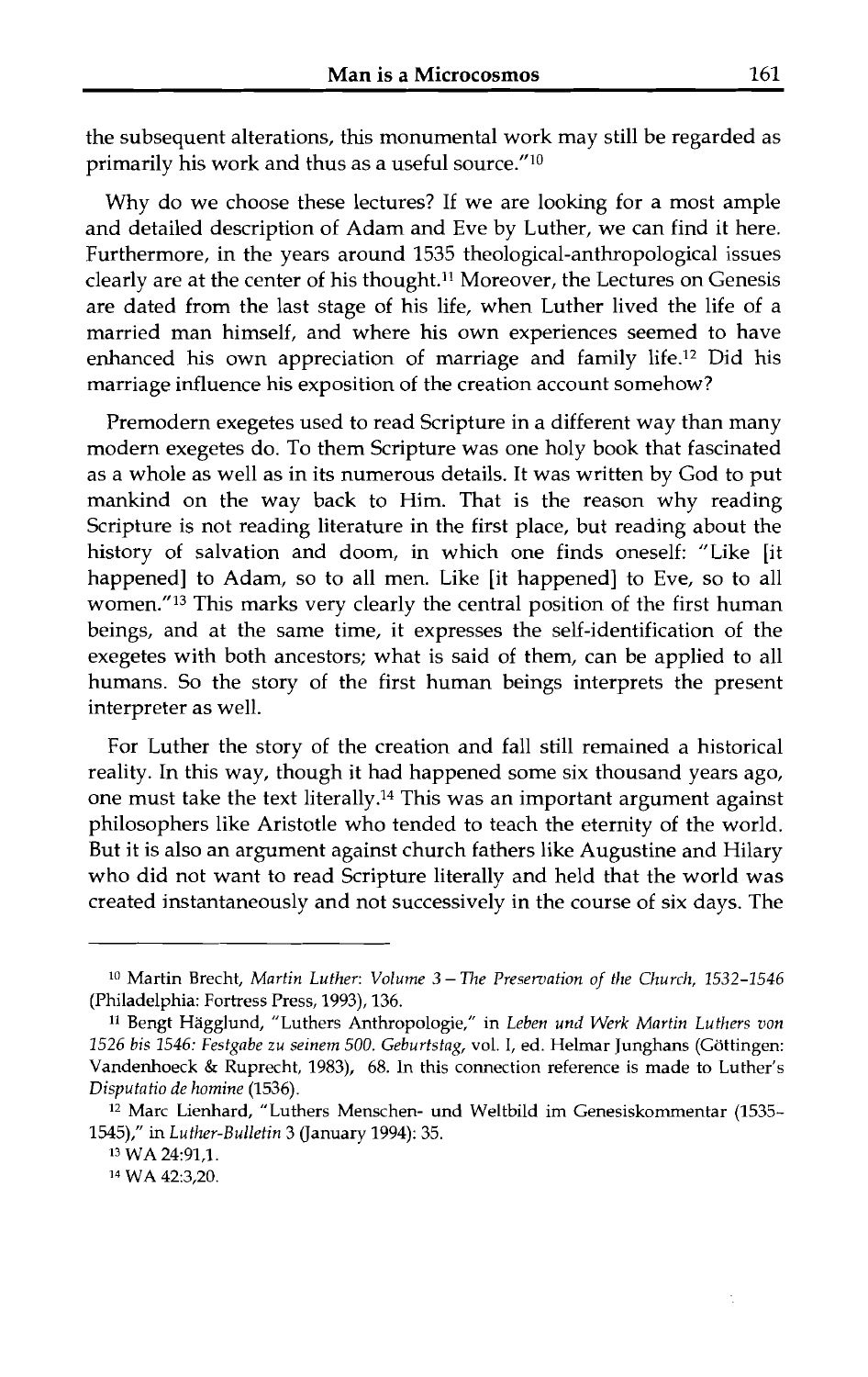the subsequent alterations, this monumental work may still be regarded as primarily his work and thus as a useful source." $10$ 

Why do we choose these lectures? If we are looking for a most ample and detailed description of Adam and Eve by Luther, we can find it here. Furthermore, in the years around 1535 theological-anthropological issues clearly are at the center of his thought.<sup>11</sup> Moreover, the Lectures on Genesis are dated from the last stage of his life, when Luther lived the life of a married man himself, and where his own experiences seemed to have enhanced his own appreciation of marriage and family life.12 Did his marriage influence his exposition of the creation account somehow?

Premodern exegetes used to read Scripture in a different way than many modern exegetes do. To them Scripture was one holy book that fascinated as a whole as well as in its numerous details. It was written by God to put mankind on the way back to Him. That is the reason why reading Scripture is not reading literature in the first place, but reading about the history of salvation and doom, in which one finds oneself: "Like [it happened] to Adam, so to all men. Like [it happened] to Eve, so to all women."<sup>13</sup> This marks very clearly the central position of the first human beings, and at the same time, it expresses the self-identification of the exegetes with both ancestors; what is said of them, can be applied to all humans. So the story of the first human beings interprets the present interpreter as well.

For Luther the story of the creation and fall still remained a historical reality. In this way, though it had happened some six thousand years ago, one must take the text literally.14 This was an important argument against philosophers like Aristotle who tended to teach the eternity of the world. But it is also an argument against church fathers like Augustine and Hilary who did not want to read Scripture literally and held that the world was created instantaneously and not successively in the course of six days. The

**<sup>10</sup>**Martin Brecht, *Martin Luther: Volume* **3** *-The Preservation of the Church, 1532-1546*  (Philadelphia: Fortress Press, 1993), 136.

**<sup>11</sup>**Bengt Hagglund, "Luthers Anthropologie," in *Leben unri Werk Martin Luthers von 1526 bis 1546: Festgabe zu seinem 500. Geburtstag,* vol. I, ed. Helmar Junghans (Gottingen: Vandenhoeck & Ruprecht, 1983), 68. In this connection reference is made to Luther's *Disputatio de homine* (1536).

<sup>&</sup>lt;sup>12</sup> Marc Lienhard, "Luthers Menschen- und Weltbild im Genesiskommentar (1535-1545)," in *Luther-Bulletin* **3** (January 1994): 35.

<sup>13</sup> WA 24:91,1.

**l4** WA 42:3,20.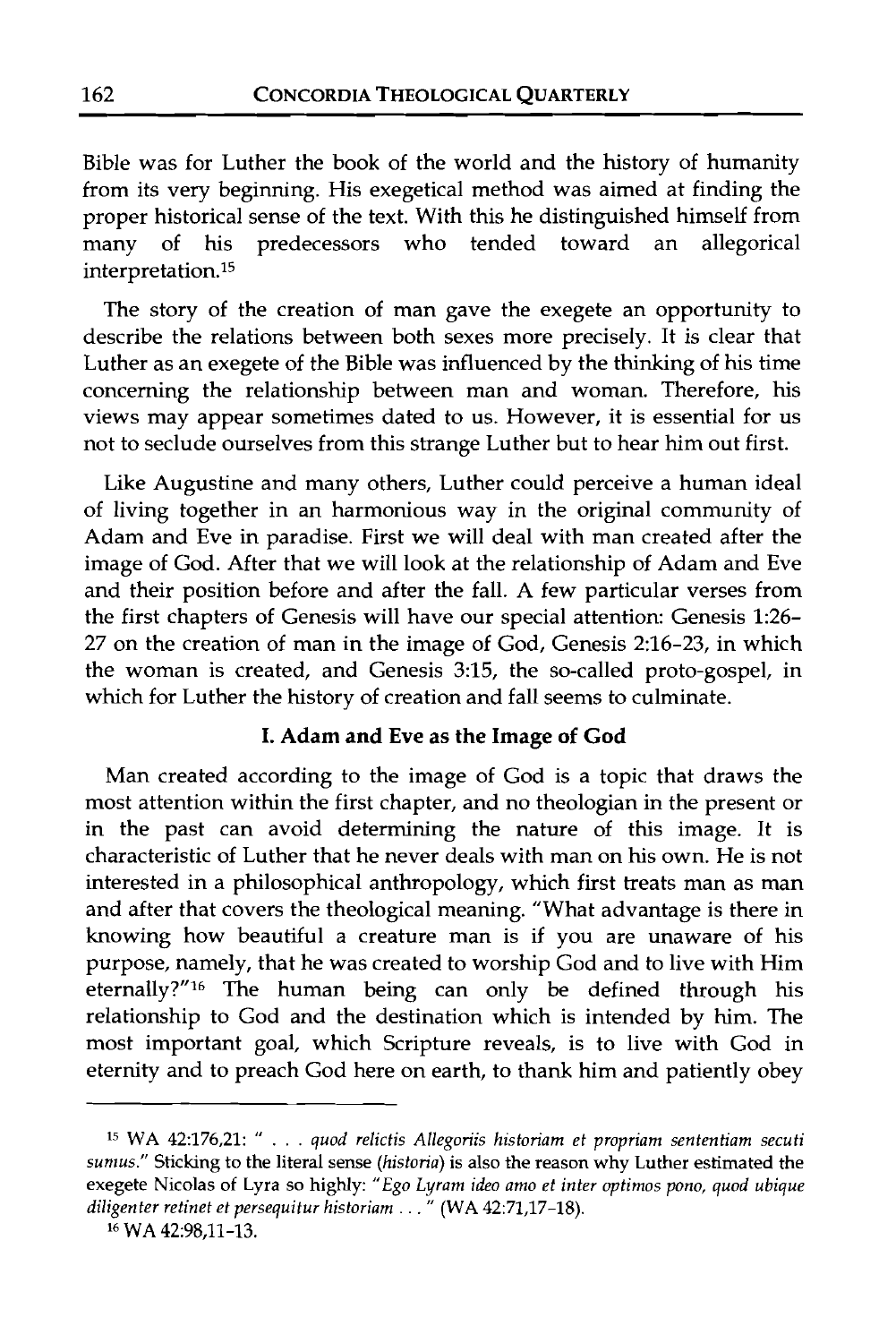Bible was for Luther the book of the world and the history of humanity from its very beginning. His exegetical method was aimed at finding the proper historical sense of the text. With this he distinguished himself from<br>many of his predecessors who tended toward an allegorical many of his predecessors who tended interpretation.15

The story of the creation of man gave the exegete an opportunity to describe the relations between both sexes more precisely. It is clear that Luther as an exegete of the Bible was influenced by the thinking of his time concerning the relationship between man and woman. Therefore, his views may appear sometimes dated to us. However, it is essential for us not to seclude ourselves from this strange Luther but to hear him out first.

Like Augustine and many others, Luther could perceive a human ideal of living together in an harmonious way in the original community of Adam and Eve in paradise. First we will deal with man created after the image of God. After that we will look at the relationship of Adam and Eve and their position before and after the fall. **A** few particular verses from the first chapters of Genesis will have our special attention: Genesis 1:26- 27 on the creation of man in the image of God, Genesis 2:16-23, in which the woman is created, and Genesis 3:15, the so-called proto-gospel, in which for Luther the history of creation and fall seems to culminate.

#### **I. Adam and Eve as the Image of God**

Man created according to the image of God is a topic that draws the most attention within the first chapter, and no theologian in the present or in the past can avoid determining the nature of this image. It is characteristic of Luther that he never deals with man on his own. He is not interested in a philosophical anthropology, which first treats man as man and after that covers the theological meaning. "What advantage is there in knowing how beautiful a creature man is if you are unaware of his purpose, namely, that he was created to worship God and to live with Him eternally?"<sup>16</sup> The human being can only be defined through his relationship to God and the destination which is intended by him. The most important goal, which Scripture reveals, is to live with God in eternity and to preach God here on earth, to thank him and patiently obey

**l5 WA** *42:176,21:* " . . . *quod relictis Allegoriis historiarn et propriam sententiam secuti sumus."* **Sticking to the literal sense** *(historia)* **is also the reason why Luther estimated the exegete Nicolas of Lyra so highly:** *"Ego Lyram ideo amo et inter optimos pono, quod ubique diligenter retinet et persequitur historiam ..."* (WA 42:71,17-18).

**l6** WA 42:98,11-13.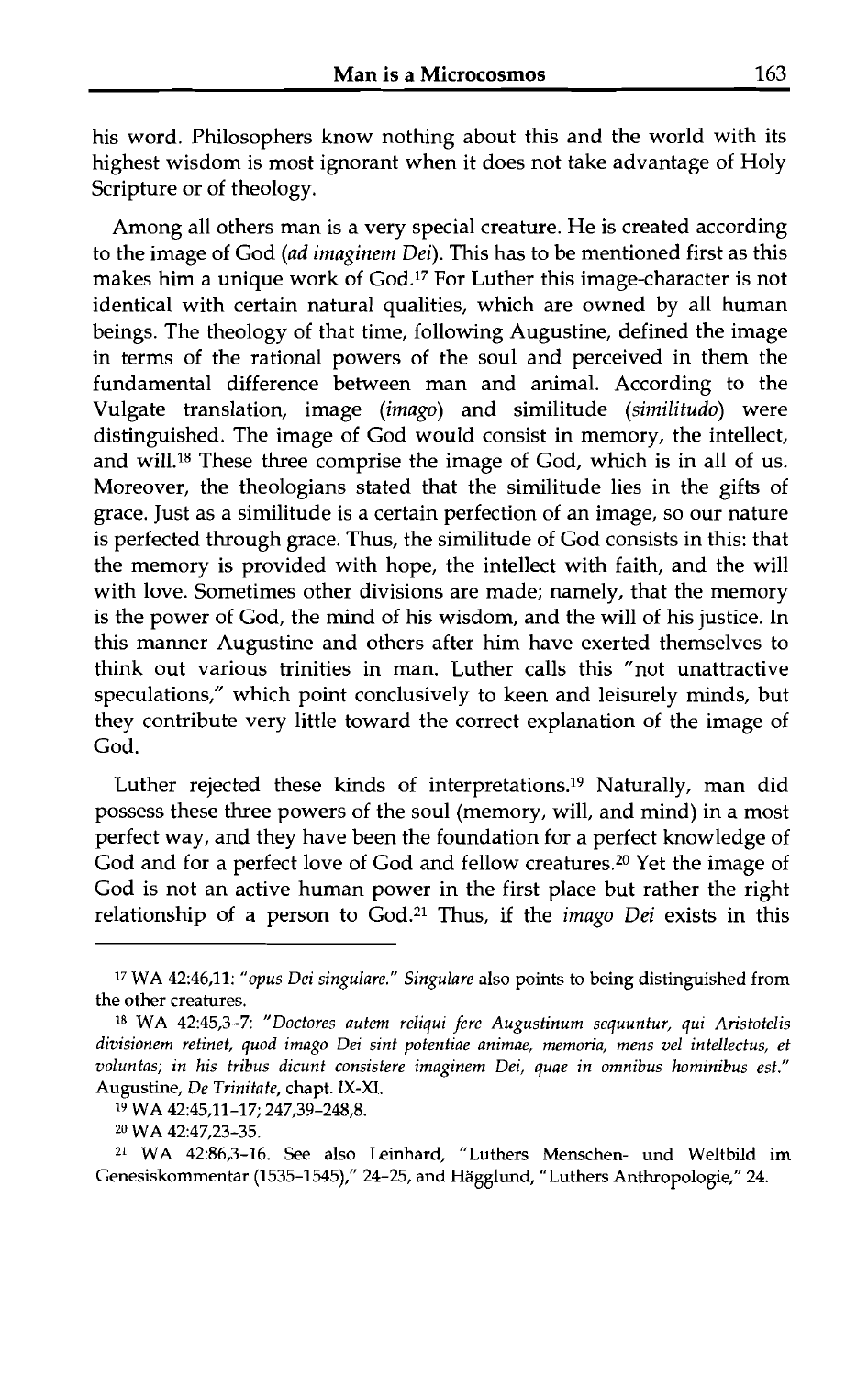his word. Philosophers know nothing about this and the world with its highest wisdom is most ignorant when it does not take advantage of Holy Scripture or of theology.

Among all others man is a very special creature. He is created according to the image of God (ad imaginem Dei). This has to be mentioned first as this makes him a unique work of God.17 For Luther this image-character is not identical with certain natural qualities, which are owned by all human beings. The theology of that time, following Augustine, defined the image in terms of the rational powers of the soul and perceived in them the fundamental difference between man and animal. According to the Vulgate translation, image (imago) and similitude (similitudo) were distinguished. The image of God would consist in memory, the intellect, and will.18 These three comprise the image of God, whch is in all of us. Moreover, the theologians stated that the similitude lies in the gifts of grace. Just as a similitude is a certain perfection of an image, so our nature is perfected through grace. Thus, the similitude of God consists in this: that the memory is provided with hope, the intellect with faith, and the will with love. Sometimes other divisions are made; namely, that the memory is the power of God, the mind of his wisdom, and the will of his justice. In this manner Augustine and others after him have exerted themselves to think out various trinities in man. Luther calls this "not unattractive speculations," which point conclusively to keen and leisurely minds, but they contribute very little toward the correct explanation of the image of God.

Luther rejected these kinds of interpretations.19 Naturally, man did possess these three powers of the soul (memory, will, and mind) in a most perfect way, and they have been the foundation for a perfect knowledge of God and for a perfect love of God and fellow creatures.<sup>20</sup> Yet the image of God is not an active human power in the first place but rather the right relationship of a person to God.<sup>21</sup> Thus, if the *imago Dei* exists in this

<sup>&</sup>lt;sup>17</sup> WA 42:46,11: "*opus Dei singulare." Singulare* also points to being distinguished from **the other creatures.** 

**l8 WA 42:45,3-7:** *"Doctores autem reliqui fere Augustinum sequuntur, qui Aristotelis divisionem retinet, quod imago Dei sint potentiae animae, memoria, mens vel intellectus, et voluntas; in his tribus dicunt consistere imaginem Dei, quae in omnibus hominibus est."*  **Augustine,** *De Trinitate,* **chapt.** *IX-XI.* 

**l9 WA 42:45,11-17; 247,39-248,8.** 

**<sup>20</sup>WA 42:47,23-35.** 

**<sup>2</sup>l WA 42:86,3-16. See also Leinhard, "Luthers Menschen- und Weltbild im**  Genesiskommentar (1535-1545)," 24-25, and Hägglund, "Luthers Anthropologie," 24.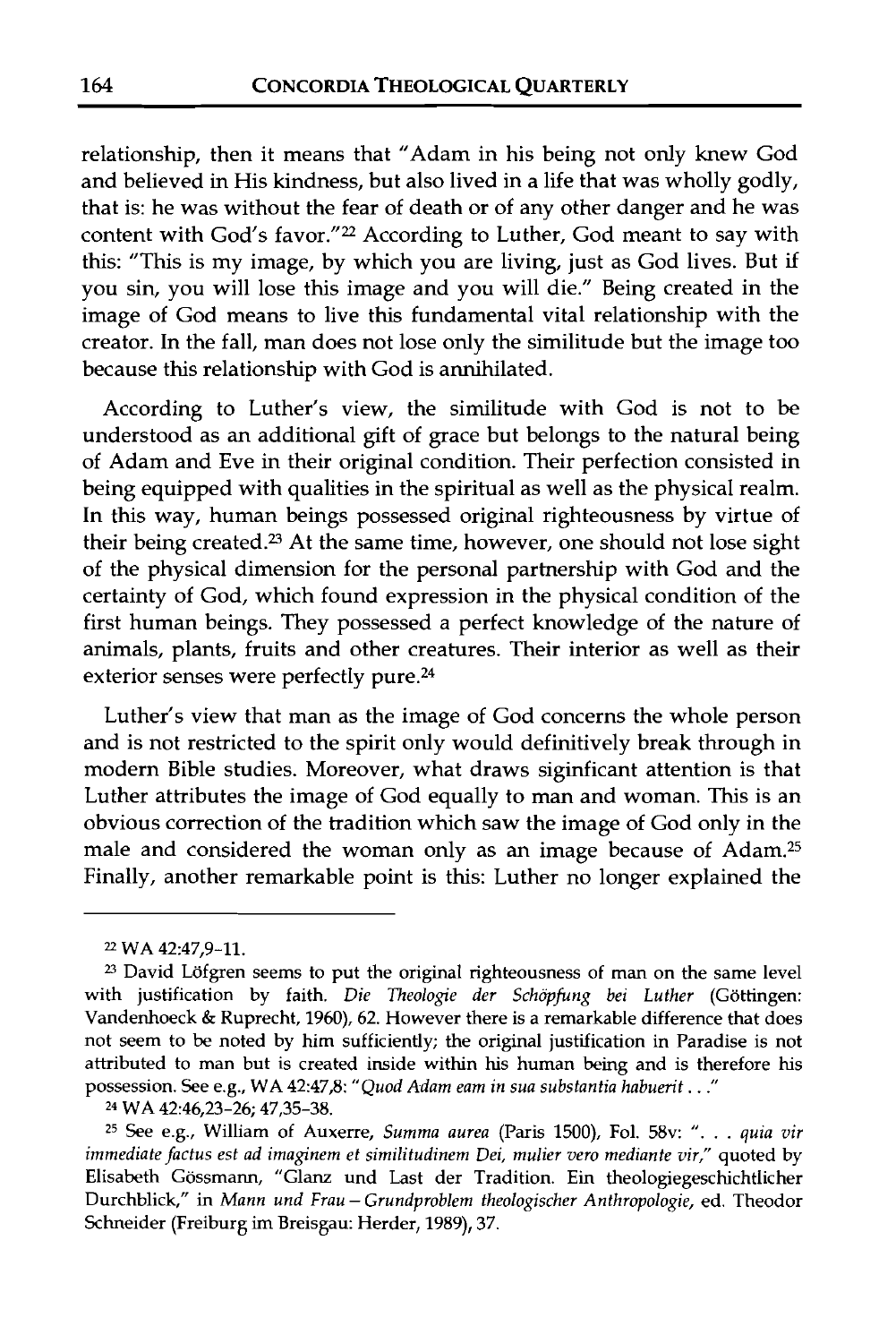relationship, then it means that "Adam in his being not only knew God and believed in His kindness, but also lived in a life that was wholly godly, that is: he was without the fear of death or of any other danger and he was content with God's favor."<sup>22</sup> According to Luther, God meant to say with this: "This is my image, by which you are living, just as God lives. But if you sin, you will lose this image and you will die." Being created in the image of God means to live this fundamental vital relationship with the creator. In the fall, man does not lose only the similitude but the image too because this relationship with God is annihilated.

According to Luther's view, the similitude with God is not to be understood as an additional gift of grace but belongs to the natural being of Adam and Eve in their original condition. Their perfection consisted in being equipped with qualities in the spiritual as well as the physical realm. In this way, human beings possessed original righteousness by virtue of their being created.23 At the same time, however, one should not lose sight of the physical dimension for the personal partnership with God and the certainty of God, which found expression in the physical condition of the first human beings. They possessed a perfect knowledge of the nature of animals, plants, fruits and other creatures. Their interior as well as their exterior senses were perfectly pure. $24$ 

Luther's view that man as the image of God concerns the whole person and is not restricted to the spirit only would definitively break through in modern Bible studies. Moreover, what draws siginficant attention is that Luther attributes the image of God equally to man and woman. This is an obvious correction of the tradition which saw the image of God only in the male and considered the woman only as an image because of Adam.25 Finally, another remarkable point is this: Luther no longer explained the

**<sup>22</sup>WA 42:47,9-11.** 

<sup>&</sup>lt;sup>23</sup> David Löfgren seems to put the original righteousness of man on the same level with justification by faith. *Die Theologie der Schöpfung bei Luther* (Göttingen: **Vandenhoeck** & **Ruprecht, 1960), 62. However there is a remarkable difference that does not seem to be noted by him sufficiently; the original justification in Paradise is not attributed to man but is created inside within his human being and is therefore his possession. See e.g., WA 42:47,8:** *"Quod Adam eam in sua substantia habuerit* . . ."

**<sup>24</sup>WA 42:46,23-26; 47,35-38.** 

z5 **See e.g., William of Auxerre,** *Summa aurea* **(Paris 1500), Fol. 58v:** ". . . *quia vir immediate factus est ad imaginem et similitudinem Dei, mulier vero mediante vir,"* quoted by **Elisabeth Gossmann, "Glanz und Last der Tradition. Ein theologiegeschichtlicher Durchblick," in** *Mann und Frau* - *Grundproblem theologischer Anthropologie,* **ed. Theodor Schneider (Freiburg** im **Breisgau: Herder, 1989), 37.**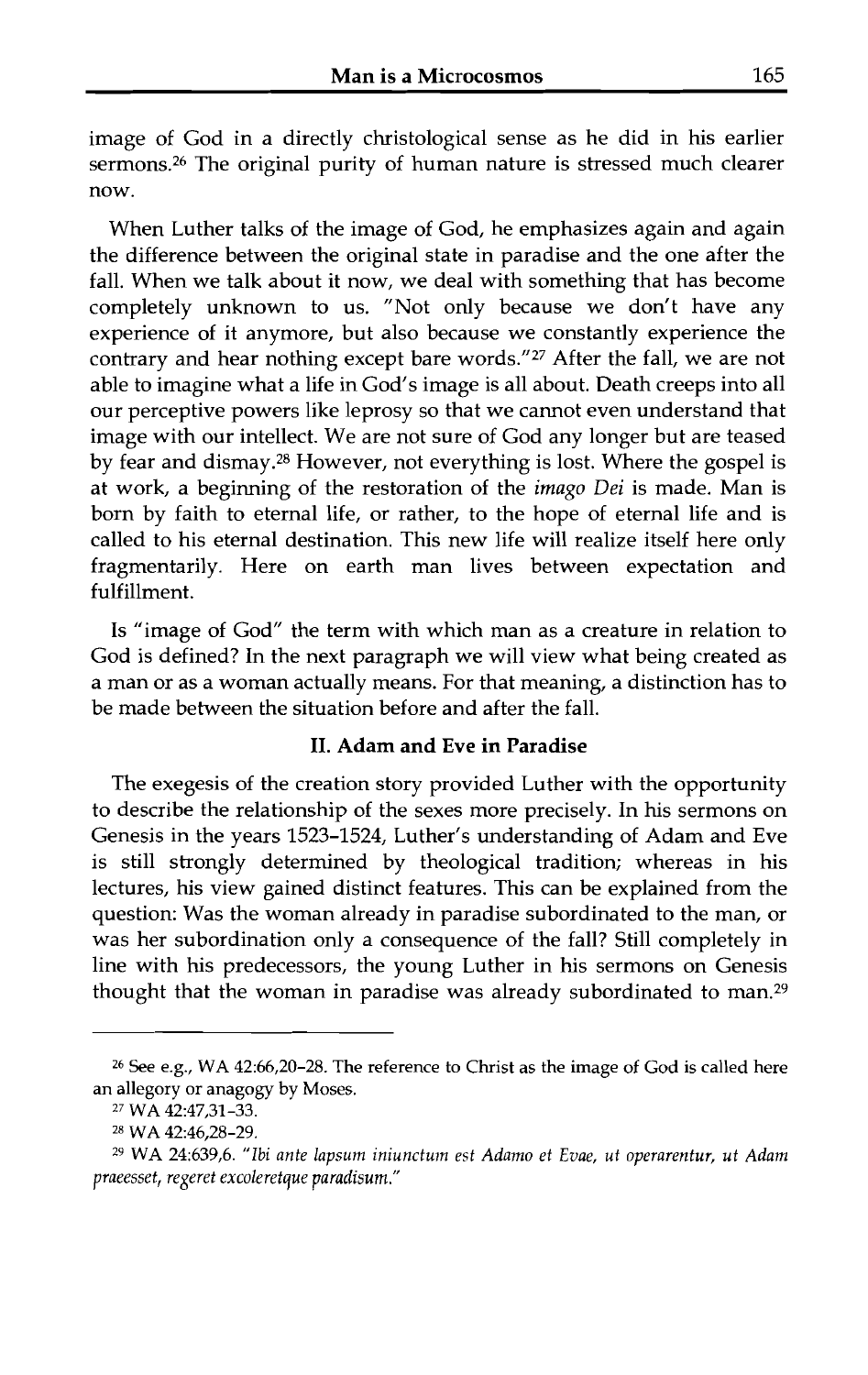image of God in a directly christological sense as he did in his earlier sermons.26 The original purity of human nature is stressed much clearer now.

When Luther talks of the image of God, he emphasizes again and again the difference between the original state in paradise and the one after the fall. When we talk about it now, we deal with something that has become completely unknown to us. "Not only because we don't have any experience of it anymore, but also because we constantly experience the contrary and hear nothing except bare words."27 After the fall, we are not able to imagine what a life in God's image is all about. Death creeps into all our perceptive powers like leprosy so that we cannot even understand that image with our intellect. We are not sure of God any longer but are teased by fear and dismay.28 However, not everything is lost. Where the gospel is at work, a beginning of the restoration of the imago **Dei** is made. Man is born by faith to eternal life, or rather, to the hope of eternal life and is called to his eternal destination. This new life will realize itself here only fragmentarily. Here on earth man lives between expectation and fulfillment.

Is "image of God" the term with which man as a creature in relation to God is defined? In the next paragraph we will view what being created as a man or as a woman actually means. For that meaning, a distinction has to be made between the situation before and after the fall.

#### **11.** Adam and Eve in Paradise

The exegesis of the creation story provided Luther with the opportunity to describe the relationship of the sexes more precisely. In his sermons on Genesis in the years 1523-1524, Luther's understanding of Adam and Eve is still strongly determined by theological tradition; whereas in his lectures, his view gained distinct features. This can be explained from the question: Was the woman already in paradise subordinated to the man, or was her subordination only a consequence of the fall? Still completely in line with his predecessors, the young Luther in his sermons on Genesis thought that the woman in paradise was already subordinated to man.29

**<sup>26</sup>**See e.g., WA 42:66,20-28. The reference to Christ as the image of God is called here an allegory or anagogy by Moses.

**<sup>2&#</sup>x27;** WA 42:47,31-33.

**<sup>28</sup>**WA 42:46,28-29.

**<sup>29</sup>**WA 24:639,6. "Ibi *ante lapsum iniunctuin est Adamo et Evae, ut operarentur, ut Adam praeesset, regeret excoleretque* paradisuni."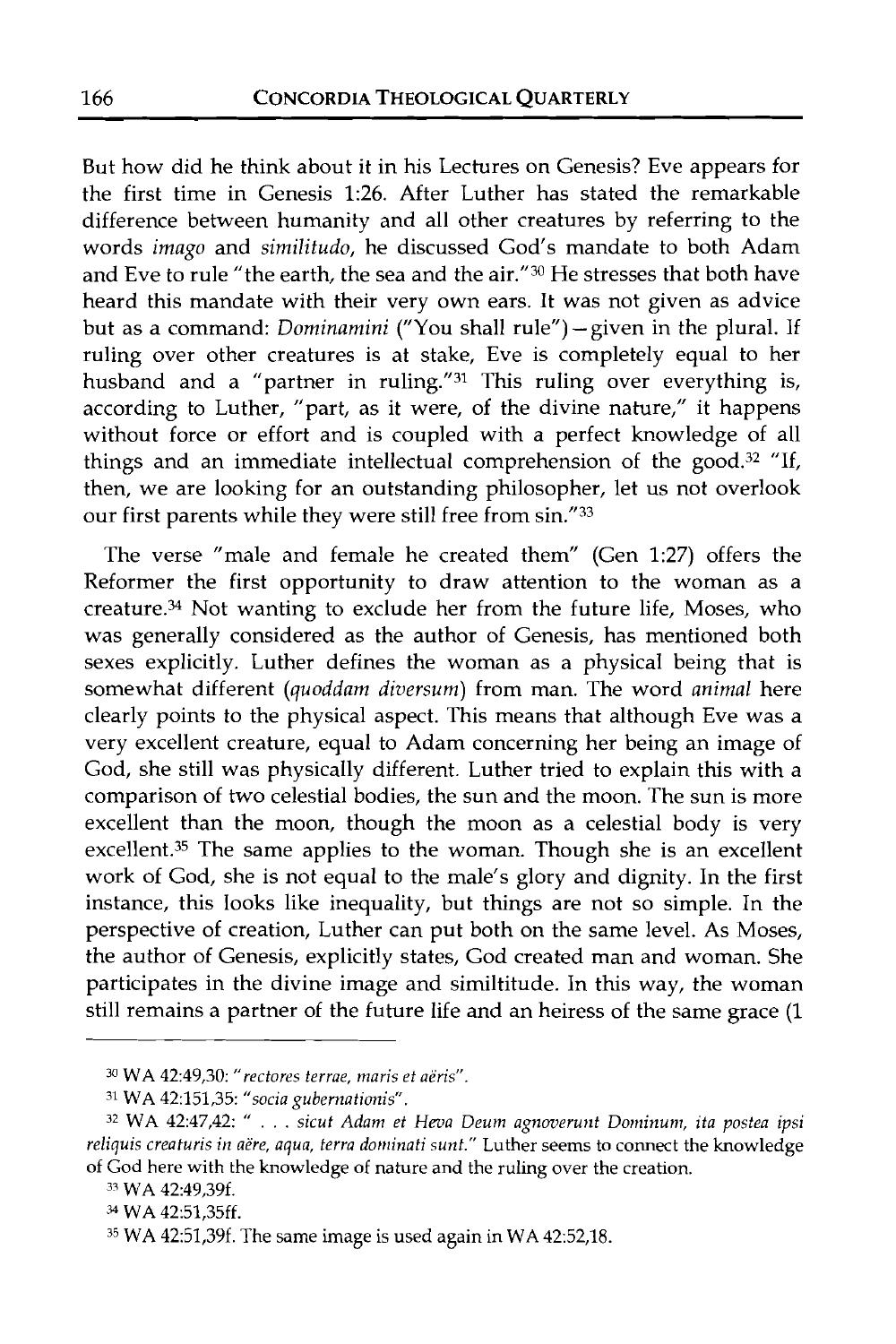But how did he think about it in his Lectures on Genesis? Eve appears for the first time in Genesis 1:26. After Luther has stated the remarkable difference between humanity and all other creatures by referring to the words imago and similitudo, he discussed God's mandate to both Adam and Eve to rule "the earth, the sea and the air."30 He stresses that both have heard this mandate with their very own ears. It was not given as advice but as a command: Dominamini ("You shall rule") - given in the plural. If ruling over other creatures is at stake, Eve is completely equal to her husband and a "partner in ruling."31 This ruling over everything is, according to Luther, "part, as it were, of the divine nature," it happens without force or effort and is coupled with a perfect knowledge of all things and an immediate intellectual comprehension of the good.<sup>32</sup> "If, then, we are looking for an outstanding philosopher, let us not overlook our first parents while they were still free from sin."33

The verse "male and female he created them" (Gen 1:27) offers the Reformer the first opportunity to draw attention to the woman as a creature.34 Not wanting to exclude her from the future life, Moses, who was generally considered as the author of Genesis, has mentioned both sexes explicitly. Luther defines the woman as a physical being that is somewhat different (quoddam diversum) from man. The word animal here clearly points to the physical aspect. This means that although Eve was a very excellent creature, equal to Adam concerning her being an image of God, she still was physically different. Luther tried to explain this with a comparison of two celestial bodies, the sun and the moon. The sun is more excellent than the moon, though the moon as a celestial body is very excellent.<sup>35</sup> The same applies to the woman. Though she is an excellent work of God, she is not equal to the male's glory and dignity. In the first instance, this looks like inequality, but things are not so simple. In the perspective of creation, Luther can put both on the same level. As Moses, the author of Genesis, explicitly states, God created man and woman. She participates in the divine image and similtitude. In this way, the woman still remains a partner of the future life and an heiress of the same grace (1

**<sup>3</sup>WA** 42:49,30: *"rectores terrae, maris et aeris".* 

**<sup>31</sup>WA** 42:151,35: *"socia gubernationis".* 

<sup>&</sup>lt;sup>32</sup> WA 42:47,42: " . . . *sicut Adam et Heva Deum agnoverunt Dominum, ita postea ipsi* reliquis creaturis in aere, aqua, terra dominati sunt." Luther seems to connect the knowledge of God here with the knowledge of nature and the ruling over the creation.

**<sup>37</sup> WA** 42:49,39f.

**WA** 42:51,35ff.

**<sup>35</sup> WA** 42:51,39f. The same image is used again in **WA** 42:52,18.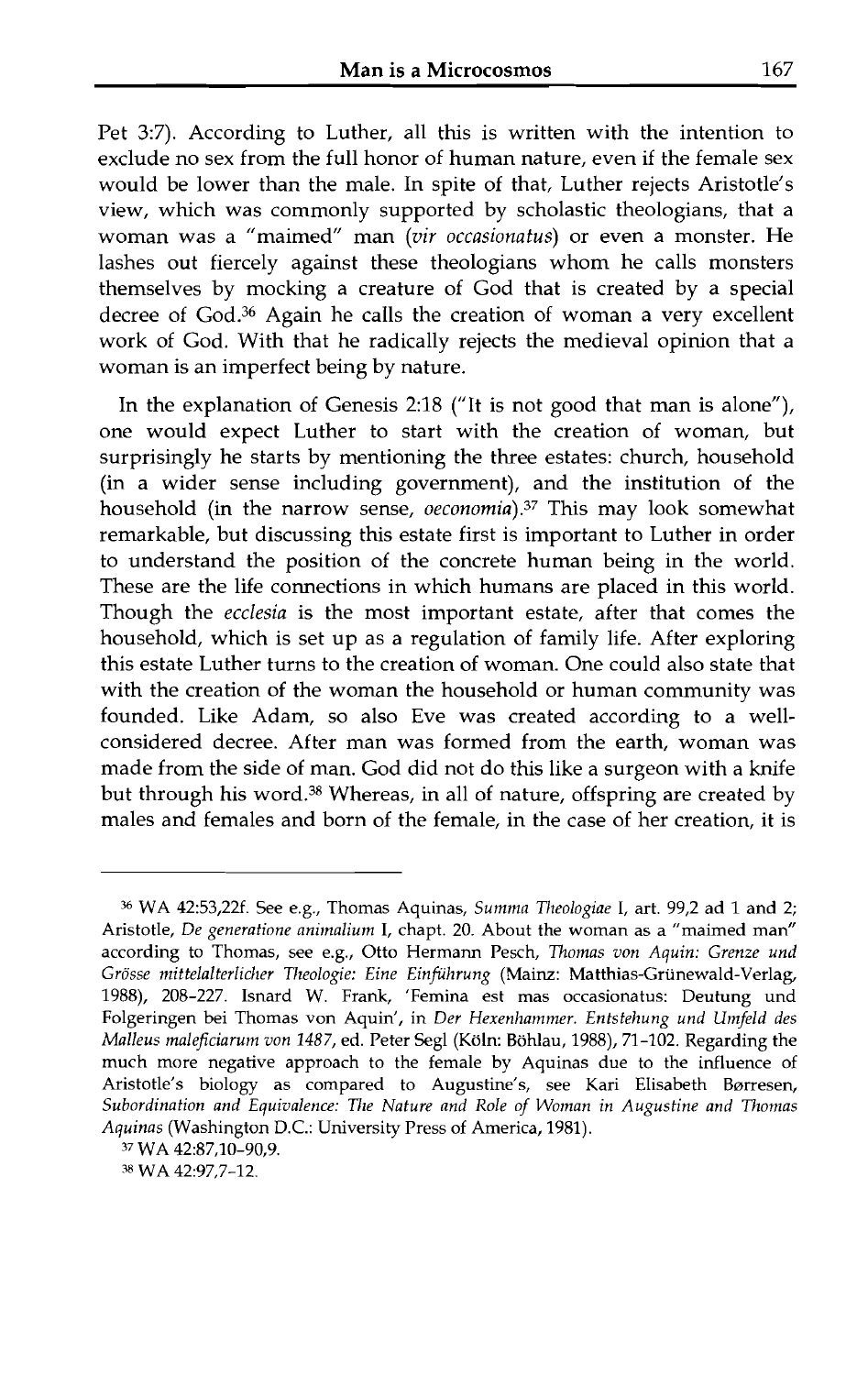Pet 3:7). According to Luther, all this is written with the intention to exclude no sex from the full honor of human nature, even if the female sex would be lower than the male. In spite of that, Luther rejects Aristotle's view, which was commonly supported by scholastic theologians, that a woman was a "maimed" man **(vir** occasionatus) or even a monster. He lashes out fiercely against these theologians whom he calls monsters themselves by mocking a creature of God that is created by a special decree of God.36 Again he calls the creation of woman a very excellent work of God. With that he radically rejects the medieval opinion that a woman is an imperfect being by nature.

In the explanation of Genesis 2:18 ("It is not good that man is alone"), one would expect Luther to start with the creation of woman, but surprisingly he starts by mentioning the three estates: church, household (in a wider sense including government), and the institution of the household (in the narrow sense, oeconomia).<sup>37</sup> This may look somewhat remarkable, but discussing this estate first is important to Luther in order to understand the position of the concrete human being in the world. These are the life connections in which humans are placed in this world. Though the ecclesia is the most important estate, after that comes the household, which is set up as a regulation of family life. After exploring this estate Luther turns to the creation of woman. One could also state that with the creation of the woman the household or human community was founded. Like Adam, so also Eve was created according to a wellconsidered decree. After man was formed from the earth, woman was made from the side of man. God did not do this like a surgeon with a knife but through his word.<sup>38</sup> Whereas, in all of nature, offspring are created by males and females and born of the female, in the case of her creation, it is

*<sup>36</sup>*WA 42:53,22f. See e.g., Thomas Aquinas, *Summa 7'heologiae* I, art. 99,2 ad 1 and 2; Aristotle, *De generatione animalium* I, chapt. 20. About the woman as a "maimed man" according to Thomas, see e.g., Otto Hermann Pesch, *7homas van Aquin: Grenze und Grosse mittelalterlicher 77zeologie: Eine Einfithrung* (Mainz: Matthias-Griinewald-Verlag, 1988), 208-227. Isnard W. Frank, 'Femina est mas occasionatus: Deutung und Folgeringen bei Thomas von Aquin', in *Der Hexenhammer. Entstehung und Umfeld des Malleus maleficiarum von 1487,* ed. Peter Segl (Koln: Bohlau, 1988), 71-102. Regarding the much more negative approach to the female by Aquinas due to the influence of Aristotle's biology as compared to Augustine's, see Kari Elisabeth Børresen, Subordination and Equivalence: The Nature and Role of Woman in Augustine and Thomas *Aquinas* (Washington D.C.: University Press of America, 1981).

**<sup>37</sup>**WA 42:87,10-90,9.

**<sup>38</sup>** WA 42:97,7-12.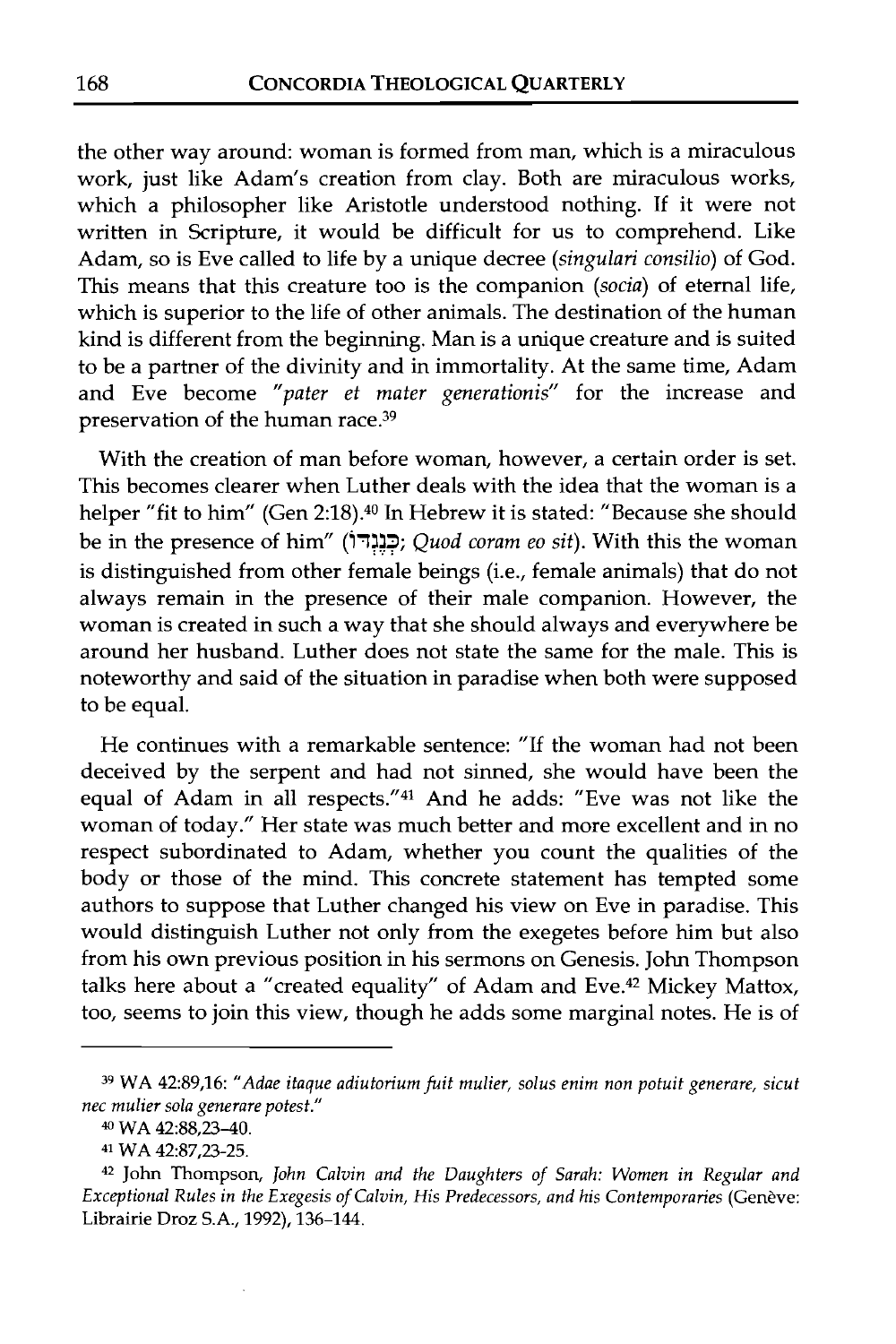the other way around: woman is formed from man, which is a miraculous work, just like Adam's creation from clay. Both are miraculous works, which a philosopher like Aristotle understood nothing. If it were not written in Scripture, it would be difficult for us to comprehend. Like Adam, so is Eve called to life by a unique decree *(singulari consilio)* of God. This means that this creature too is the companion (socia) of eternal life, which is superior to the life of other animals. The destination of the human kind is different from the beginning. Man is a unique creature and is suited to be a partner of the divinity and in immortality. At the same time, Adam and Eve become "pater et mater generationis" for the increase and preservation of the human race.39

With the creation of man before woman, however, a certain order is set. This becomes clearer when Luther deals with the idea that the woman is a helper "fit to him" (Gen 2:18).<sup>40</sup> In Hebrew it is stated: "Because she should be in the presence of him" **(17X3;** .. . Quod coram eo sit). With this the woman is distinguished from other female beings (i.e., female animals) that do not always remain in the presence of their male companion. However, the woman is created in such a way that she should always and everywhere be around her husband. Luther does not state the same for the male. This is noteworthy and said of the situation in paradise when both were supposed to be equal.

He continues with a remarkable sentence: "If the woman had not been deceived by the serpent and had not sinned, she would have been the equal of Adam in all respects."41 And he adds: "Eve was not like the woman of today." Her state was much better and more excellent and in no respect subordinated to Adam, whether you count the qualities of the body or those of the mind. This concrete statement has tempted some authors to suppose that Luther changed his view on Eve in paradise. This would distinguish Luther not only from the exegetes before him but also from his own previous position in his sermons on Genesis. John Thompson talks here about a "created equality" of Adam and Eve.<sup>42</sup> Mickey Mattox, too, seems to join this view, though he adds some marginal notes. He is of

**<sup>39</sup> WA 42:89,16:** *"Adae itaque adiutoriumfuit mulier, solus enim non potuit generare, sicut nec mulier sola generare potest."* 

**<sup>40</sup>WA 42:88,23-40.** 

**<sup>4&#</sup>x27; WA 42:87,23-25.** 

**<sup>42</sup> John Thompson,** *John Calvin and the Daughters of Sarah: Women in Regular and Exceptional Rules in the Exegesis of Calvin, His Predecessors, and his Contemporaries (Genève:* **Librairie Droz S.A., 1992), 136-144.**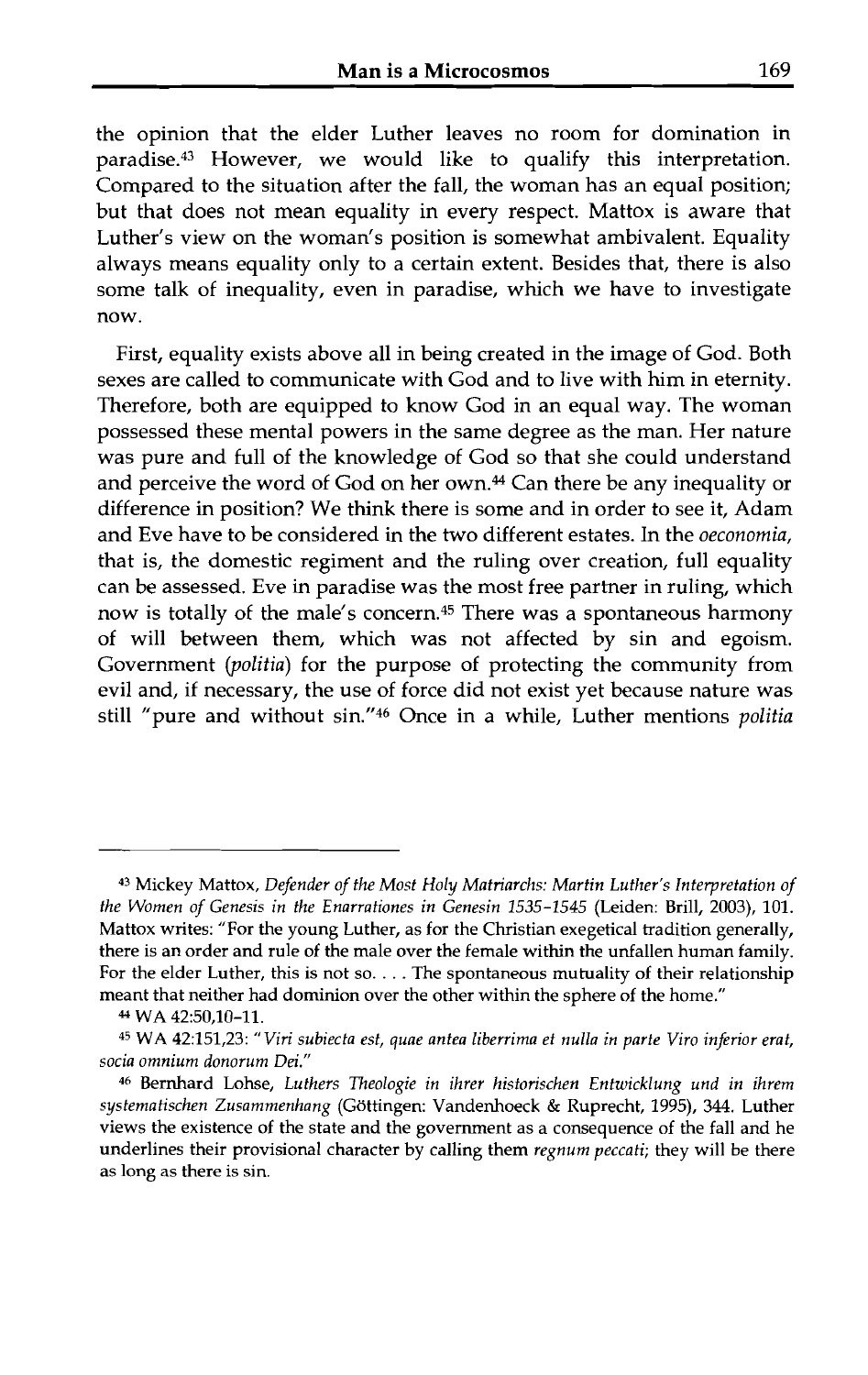the opinion that the elder Luther leaves no room for domination in paradise.43 However, we would like to qualify this interpretation. Compared to the situation after the fall, the woman has an equal position; but that does not mean equality in every respect. Mattox is aware that Luther's view on the woman's position is somewhat ambivalent. Equality always means equality only to a certain extent. Besides that, there is also some talk of inequality, even in paradise, which we have to investigate now.

First, equality exists above all in being created in the image of God. Both sexes are called to communicate with God and to live with him in eternity. Therefore, both are equipped to know God in an equal way. The woman possessed these mental powers in the same degree as the man. Her nature was pure and full of the knowledge of God so that she could understand and perceive the word of God on her own.<sup>44</sup> Can there be any inequality or difference in position? We think there is some and in order to see it, Adam and Eve have to be considered in the two different estates. In the *oeconomia,*  that is, the domestic regiment and the ruling over creation, full equality can be assessed. Eve in paradise was the most free partner in ruling, which now is totally of the male's concern.45 There was a spontaneous harmony of will between them, which was not affected by sin and egoism. Government *(politia)* for the purpose of protecting the community from evil and, if necessary, the use of force did not exist yet because nature was still "pure and without sin."<sup>46</sup> Once in a while, Luther mentions *politia* 

**<sup>43</sup>**Mickey Mattox, *Defender of the Most Holy Matriarchs: Martin Luther's Interpretation of the Women of Genesis in the Enarrationes in Genesin 1535-1545* (Leiden: Brill, 2003), 101. Mattox writes: "For the young Luther, as for the Christian exegetical tradition generally, there is an order and rule of the male over the female within the unfallen human family. For the elder Luther, this is not so. . . . The spontaneous mutuality of their relationship meant that neither had dominion over the other within the sphere of the home."

**<sup>4-&#</sup>x27;** WA 42:50,10-11.

<sup>45</sup> WA 42:151,23: *"Viri subiecta est, quae antea liberrima et nulla in parte Viro inferior erat, socia omnium donorum Dei."* 

**<sup>46</sup>**Bernhard Lohse, *Luthers Theologie in ihrer historischen Entwicklung und in ihrem systematischen Zusammenhang* (Gottingen: Vandenhoeck & Ruprecht, 1995), 344. Luther views the existence of the state and the government as a consequence of the fall and he underlines their provisional character by calling them *regnum peccati;* they will be there as long as there is sin.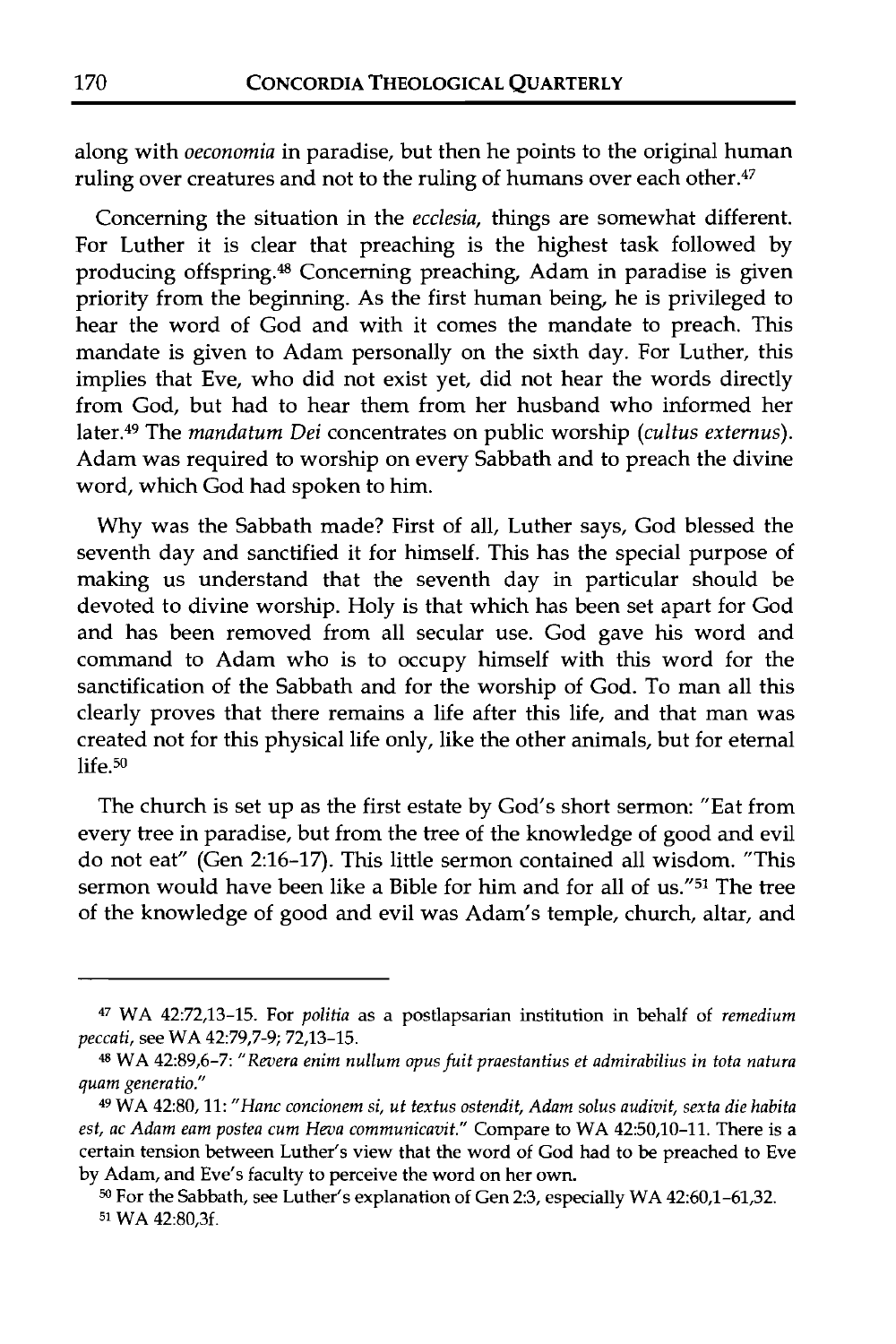along with *oeconomia* in paradise, but then he points to the original human ruling over creatures and not to the ruling of humans over each other.<sup>47</sup>

Concerning the situation in the ecclesia, things are somewhat different. For Luther it is clear that preaching is the highest task followed by producing offspring.<sup>48</sup> Concerning preaching, Adam in paradise is given priority from the beginning. As the first human being, he is privileged to hear the word of God and with it comes the mandate to preach. This mandate is given to Adam personally on the sixth day. For Luther, this implies that Eve, who did not exist yet, did not hear the words directly from God, but had to hear them from her husband who informed her later.<sup>49</sup> The *mandatum Dei* concentrates on public worship (cultus externus). Adam was required to worship on every Sabbath and to preach the divine word, which God had spoken to him.

Why was the Sabbath made? First of all, Luther says, God blessed the seventh day and sanctified it for himself. This has the special purpose of making us understand that the seventh day in particular should be devoted to divine worship. Holy is that which has been set apart for God and has been removed from all secular use. God gave his word and command to Adam who is to occupy himself with this word for the sanctification of the Sabbath and for the worship of God. To man all this clearly proves that there remains a life after this life, and that man was created not for this physical life only, like the other animals, but for eternal  $life.50$ 

The church is set up as the first estate by God's short sermon: "Eat from every tree in paradise, but from the tree of the knowledge of good and evil do not eat" (Gen 2:16-17). This little sermon contained all wisdom. "This sermon would have been like a Bible for him and for all of us."51 The tree of the knowledge of good and evil was Adam's temple, church, altar, and

<sup>47</sup>**WA 42:72,13-15. For** *politia* **as a postlapsarian institution in behalf of** *remedium peccati,* **see WA 42:79,7-9; 72,13-15.** 

<sup>48</sup>**WA 42:89,6-7:** *"Revera enim nullum opusfuit praestantius et admirabilius in tota natura quam generatio."* 

**<sup>49</sup> WA 42:80,11:** *"Hanc concionem si, ut textus ostendit, Adam solus audivit, sexta die habita est, ac Adam eam postea cum Heva communicavit."* **Compare to WA 42:50,10-11. There is a certain tension between Luther's view that the word of God had to be preached to Eve by Adam, and Eve's faculty to perceive the word on her own.** 

**<sup>50</sup>For the Sabbath, see Luther's explanation of Gen 23, especially WA 42:60,1-61,32. 51 WA 42:80,3f.**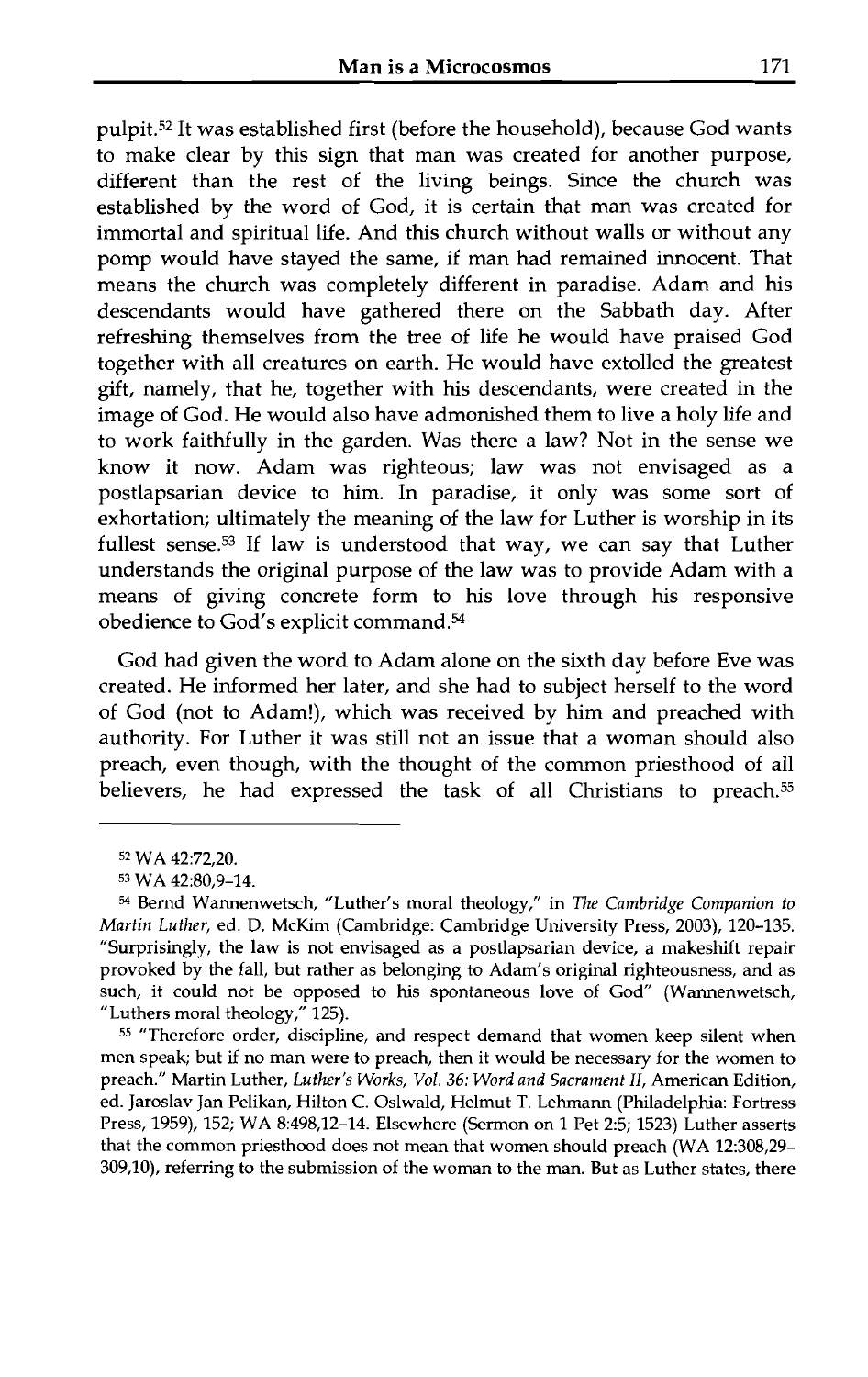pulpit.52 It was established first (before the household), because God wants to make clear by this sign that man was created for another purpose, different than the rest of the living beings. Since the church was established by the word of God, it is certain that man was created for immortal and spiritual life. And this church without walls or without any pomp would have stayed the same, if man had remained innocent. That means the church was completely different in paradise. Adam and his descendants would have gathered there on the Sabbath day. After refreshing themselves from the tree of life he would have praised God together with all creatures on earth. He would have extolled the greatest gift, namely, that he, together with his descendants, were created in the image of God. He would also have admonished them to live a holy life and to work faithfully in the garden. Was there a law? Not in the sense we know it now. Adam was righteous; law was not envisaged as a postlapsarian device to him. In paradise, it only was some sort of exhortation; ultimately the meaning of the law for Luther is worship in its fullest sense.53 If law is understood that way, we can say that Luther understands the original purpose of the law was to provide Adam with a means of giving concrete form to his love through his responsive obedience to God's explicit command.<sup>54</sup>

God had given the word to Adam alone on the sixth day before Eve was created. He informed her later, and she had to subject herself to the word of God (not to Adam!), which was received by him and preached with authority. For Luther it was still not an issue that a woman should also preach, even though, with the thought of the common priesthood of all believers, he had expressed the task of all Christians to preach.<sup>55</sup>

<sup>55</sup>"Therefore order, discipline, and respect demand that women keep silent when men speak; but if no man were to preach, then it would be necessary for the women to preach." Martin Luther, *Luther's Works, Vol. 36: Word and Sacrament* 11, American Edition, ed. Jaroslav Jan Pelikan, Hilton C. Oslwald, Helmut T. Lehrnann (Philadelphia: Fortress Press, 1959), 152; WA 8:498,12-14. Elsewhere (Sermon on 1 Pet 2:5; 1523) Luther asserts that the common priesthood does not mean that women should preach (WA 12:308,29- 309,10), referring to the submission of the woman to the man. But as Luther states, there

<sup>52</sup>WA 42:72,20.

<sup>53</sup> WA 42:80,9-14.

*<sup>54</sup>*Bemd Wannenwetsch, "Luther's moral theology," in *The Cambridge Companion to Martin Luther,* ed. *D.* McKim (Cambridge: Cambridge University Press, 2003), 120-135. "Surprisingly, the law is not envisaged as a postlapsarian device, a makeshift repair provoked by the fall, but rather as belonging to Adam's original righteousness, and as such, it could not be opposed to his spontaneous love of God" (Wannenwetsch, "Luthers moral theology," 125).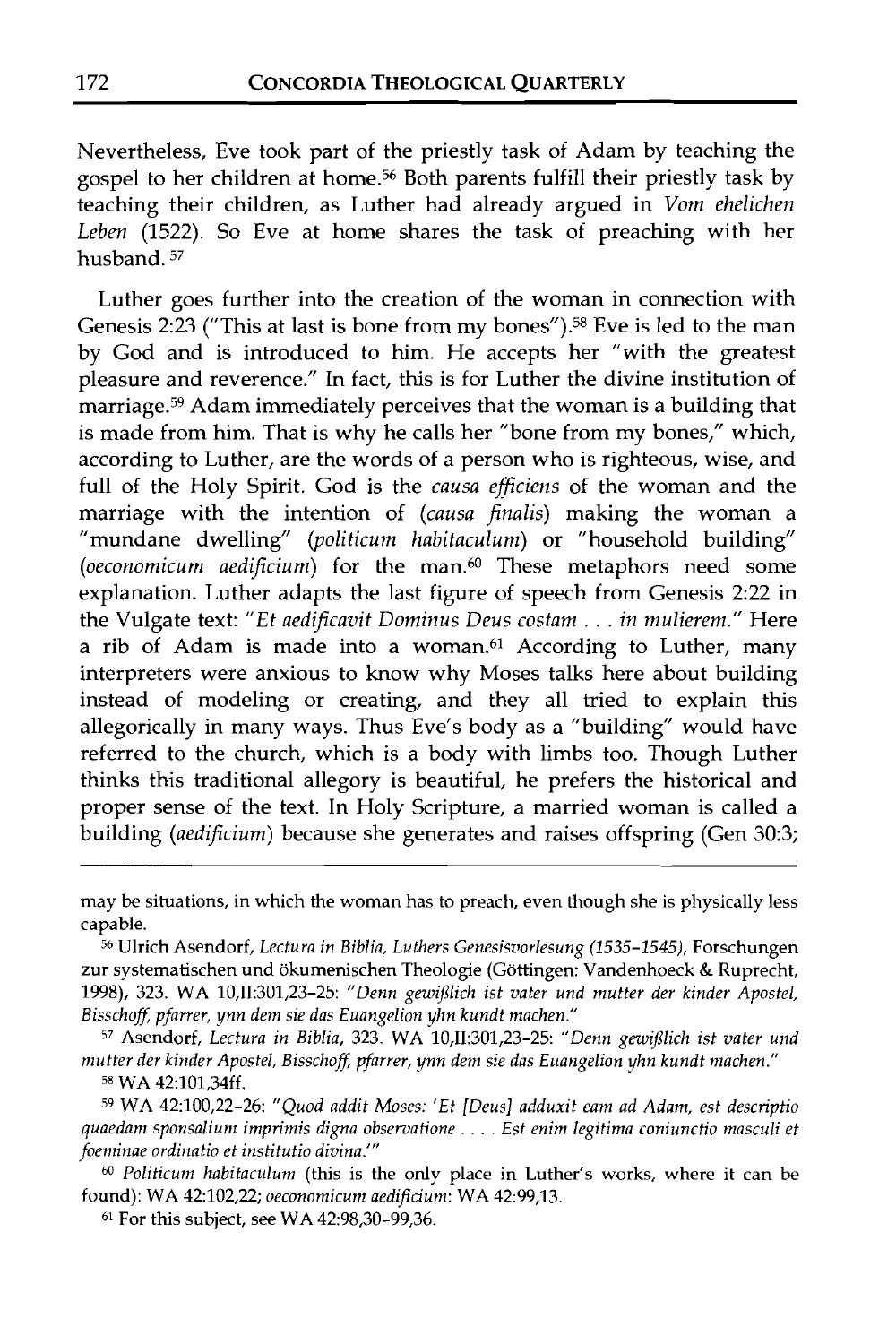Nevertheless, Eve took part of the priestly task of Adam by teaching the gospel to her children at home.<sup>56</sup> Both parents fulfill their priestly task by teaching their children, as Luther had already argued in Vom ehelichen Leben (1522). So Eve at home shares the task of preaching with her husband. 57

Luther goes further into the creation of the woman in connection with Genesis 2:23 ("This at last is bone from my bones").<sup>58</sup> Eve is led to the man by God and is introduced to him. He accepts her "with the greatest pleasure and reverence." In fact, this is for Luther the divine institution of marriage.<sup>59</sup> Adam immediately perceives that the woman is a building that is made from him. That is why he calls her "bone from my bones," which, according to Luther, are the words of a person who is righteous, wise, and full of the Holy Spirit. God is the causa efficiens of the woman and the marriage with the intention of (causa finalis) making the woman a "mundane dwelling" (politicum habitaculum) or "household building" (oeconomicum aedificium) for the man. $60$  These metaphors need some explanation. Luther adapts the last figure of speech from Genesis 2:22 in the Vulgate text: "Et aedificavit Dominus Deus costam . . . in mulierem." Here a rib of Adam is made into a woman.<sup>61</sup> According to Luther, many interpreters were anxious to know why Moses talks here about building instead of modeling or creating, and they all tried to explain this allegorically in many ways. Thus Eve's body as a "building" would have referred to the church, which is a body with limbs too. Though Luther thinks this traditional allegory is beautiful, he prefers the historical and proper sense of the text. In Holy Scripture, a married woman is called a building (aedificium) because she generates and raises offspring (Gen 30:3;

may be situations, in which the woman has to preach, even though she is physically less capable.

**<sup>56</sup>**Ulrich Asendorf, *Lectura in Biblia, Luthers Genesisoorlesung* (1535-1545), Forschungen zur systematischen und ökumenischen Theologie (Göttingen: Vandenhoeck & Ruprecht, 1998), 323. WA 10,II:301,23-25: "Denn gewißlich ist vater und mutter der kinder Apostel, Bisschoff, pfarrer, ynn dem sie das Euangelion yhn kundt machen."

<sup>57</sup> Asendorf, *Lectura in Biblia,* 323. WA 10,II:301,23-25: "Denn gewißlich ist vater und *mutter der kinder Apostel, Bisschofl: pfarrer, ynn dern sie das Euangelion yhn kundt machen."*  **j8** WA 42:101,34ff.

**<sup>59</sup>**WA 42:100,22-26: *"Quod addit Moses: 'Et [Deus] adduxit earn ad Adam, est descriptio quaedam sponsaliuti~ imprimis digna observatione* . . . . *Est enim legitima coniunctio masculi et foeminae ordinatio et institutio divina.'"* 

<sup>60</sup>*Politicurn habitaculurn* (this is the only place in Luther's works, where it can be found): WA 42:102,22; *oeconomicunz aedificium:* WA 42:99,13.

*6'* For this subject, see WA 42:98,30-99,36.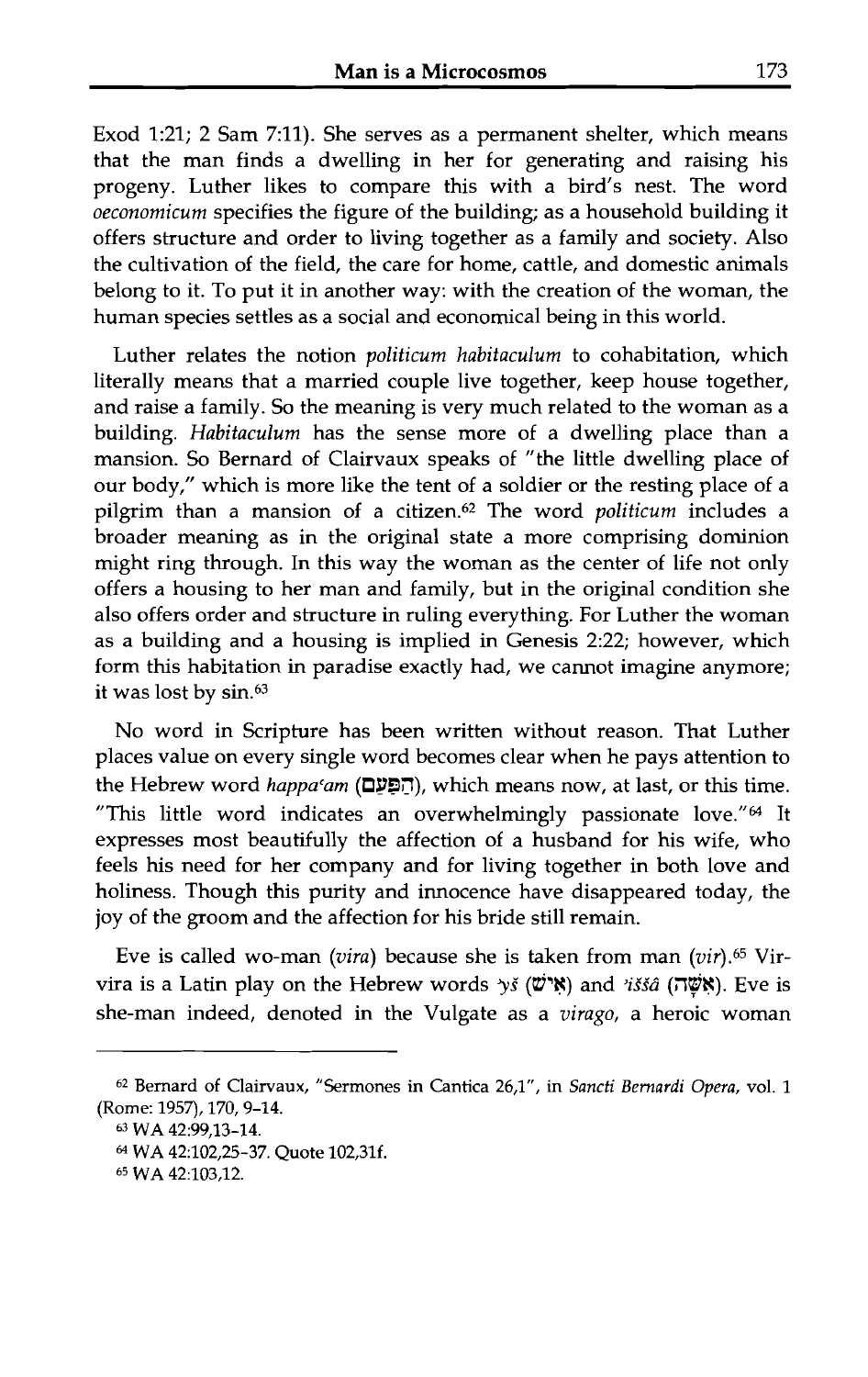Exod 1:21; 2 Sam 7:ll). She serves as a permanent shelter, which means that the man finds a dwelling in her for generating and raising his progeny. Luther likes to compare this with a bird's nest. The word oeconomicum specifies the figure of the building; as a household building it offers structure and order to living together as a family and society. Also the cultivation of the field, the care for home, cattle, and domestic animals belong to it. To put it in another way: with the creation of the woman, the human species settles as a social and economical being in this world.

Luther relates the notion politicum habitaculum to cohabitation, which literally means that a married couple live together, keep house together, and raise a family. So the meaning is very much related to the woman as a building. Habitaculum has the sense more of a dwelling place than a mansion. So Bernard of Clairvaux speaks of "the little dwelling place of our body," which is more like the tent of a soldier or the resting place of a pilgrim than a mansion of a citizen.<sup>62</sup> The word *politicum* includes a broader meaning as in the original state a more comprising dominion might ring through. In this way the woman as the center of life not only offers a housing to her man and family, but in the original condition she also offers order and structure in ruling everything. For Luther the woman as a building and a housing is implied in Genesis 2:22; however, which form this habitation in paradise exactly had, we cannot imagine anymore; it was lost by sin.<sup>63</sup>

No word in Scripture has been written without reason. That Luther places value on every single word becomes clear when he pays attention to the Hebrew word *happa'am* (הַפִּעַם), which means now, at last, or this time. "This little word indicates an overwhelmingly passionate love." $64$  It expresses most beautifully the affection of a husband for his wife, who feels his need for her company and for living together in both love and holiness. Though this purity and innocence have disappeared today, the joy of the groom and the affection for his bride still remain.

Eve is called wo-man (vira) because she is taken from man (vir).65 Virvira is a Latin play on the Hebrew words *yš* (שֹׁה) and *iššâ* (אָשָׁה). Eve is she-man indeed, denoted in the Vulgate as a virago, a heroic woman

<sup>62</sup> Bernard of Clairvaux, "Sermones in Cantica 26,1", in Sancti Bernardi Opera, vol. 1 **(Rome: 1957), 170,9-14.** 

*<sup>63</sup>***WA 42:99,13-14.** 

<sup>&</sup>lt;sup>64</sup> WA 42:102,25-37. Quote 102,31f.

**<sup>65</sup> WA 42:103,12.**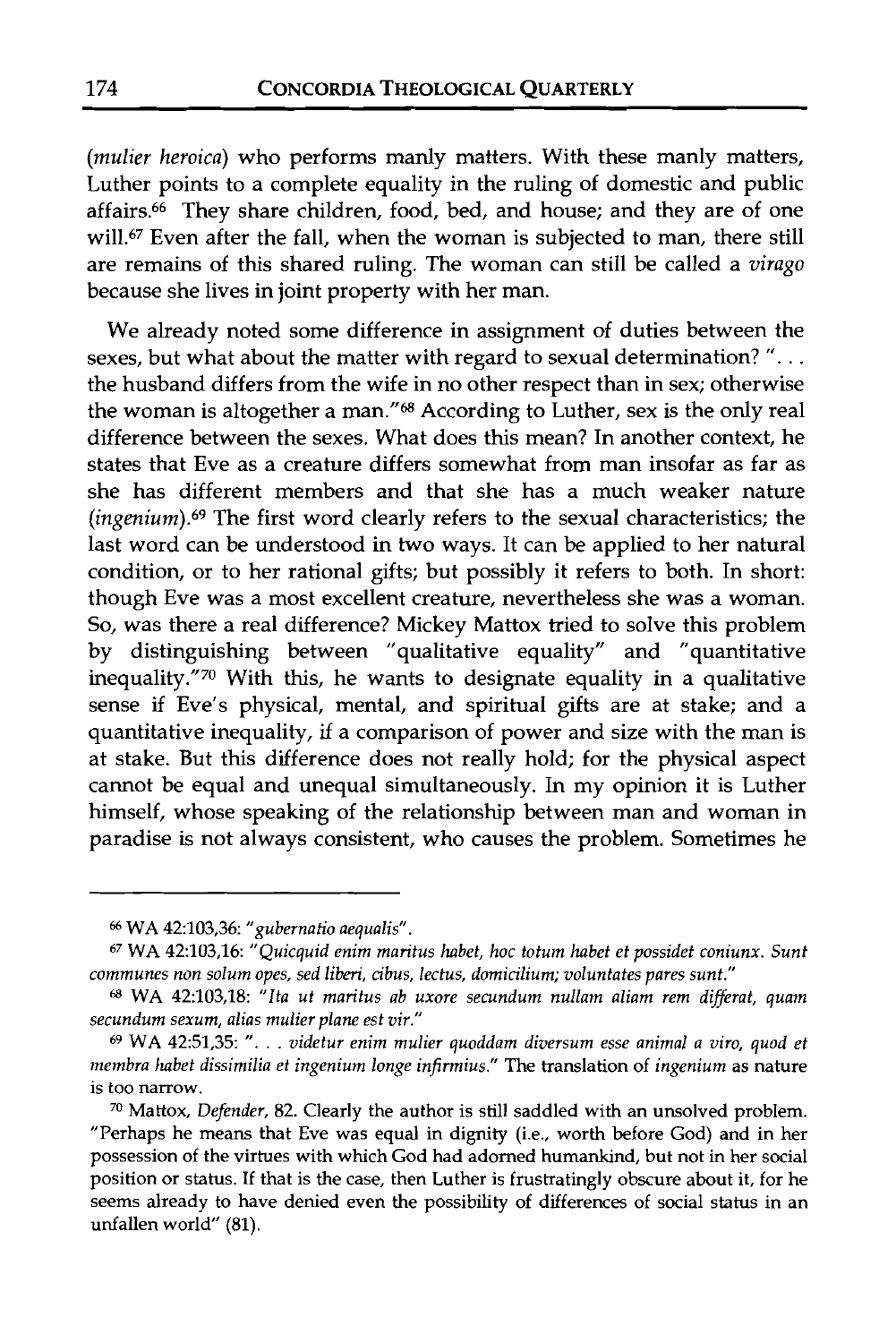(mulier heroica) who performs manly matters. With these manly matters, Luther points to a complete equality in the ruling of domestic and public affairs. $66$  They share children, food, bed, and house; and they are of one will.<sup>67</sup> Even after the fall, when the woman is subjected to man, there still are remains of this shared ruling. The woman can still be called a virago because she lives in joint property with her man.

We already noted some difference in assignment of duties between the sexes, but what about the matter with regard to sexual determination? ". . . the husband differs from the wife in no other respect than in sex; otherwise the woman is altogether a man." $68$  According to Luther, sex is the only real difference between the sexes. What does this mean? In another context, he states that Eve as a creature differs somewhat from man insofar as far as she has different members and that she has a much weaker nature  $(ingenium).<sup>69</sup>$  The first word clearly refers to the sexual characteristics; the last word can be understood in two ways. It can be applied to her natural condition, or to her rational gifts; but possibly it refers to both. In short: though Eve was a most excellent creature, nevertheless she was a woman. So, was there a real difference? Mickey Mattox tried to solve this problem by distinguishing between "qualitative equality" and "quantitative inequality."70 With this, he wants to designate equality in a qualitative sense if Eve's physical, mental, and spiritual gifts are at stake; and a quantitative inequality, if a comparison of power and size with the man is at stake. But this difference does not really hold; for the physical aspect cannot be equal and unequal simultaneously. In my opinion it is Luther himself, whose speaking of the relationship between man and woman in paradise is not always consistent, who causes the problem. Sometimes he

<sup>&</sup>quot; **WA** 42:103,36: *"gubernatio aequalis".* 

**<sup>67</sup>WA** 42:103,16: *"Quicquid enim maritus habet, hoc totum habet et possidet coniunx. Sunt communes non solum opes, sed liberi, cibus, lectus, domicilium; voluntates pares sunt."* 

**WA** 42:103,18: *"lta ut maritus ab uxore secundum nullam aliam rem differat, quam secundum sexum, alias mulier plane est vir."* 

**<sup>69</sup>**WA 42:51,35: ". . . *videtur enim mulier quoddam diversum esse animal a viro, quod et membra labet dissimilia et ingenium longe infirmius."* The translation of *ingenium* as nature is too narrow.

**<sup>&#</sup>x27;0** Mattox, *Defender,* 82. Clearly the author is still saddled with an unsolved problem. "Perhaps he means that Eve was equal in dignity (i.e., worth before God) and in her possession of the virtues with which God had adorned humankind, but not in her social position or status. If that is the case, then Luther is frustratingly obscure about it, for he seems already to have denied even the possibility of differences of social status in an unfallen world" (81).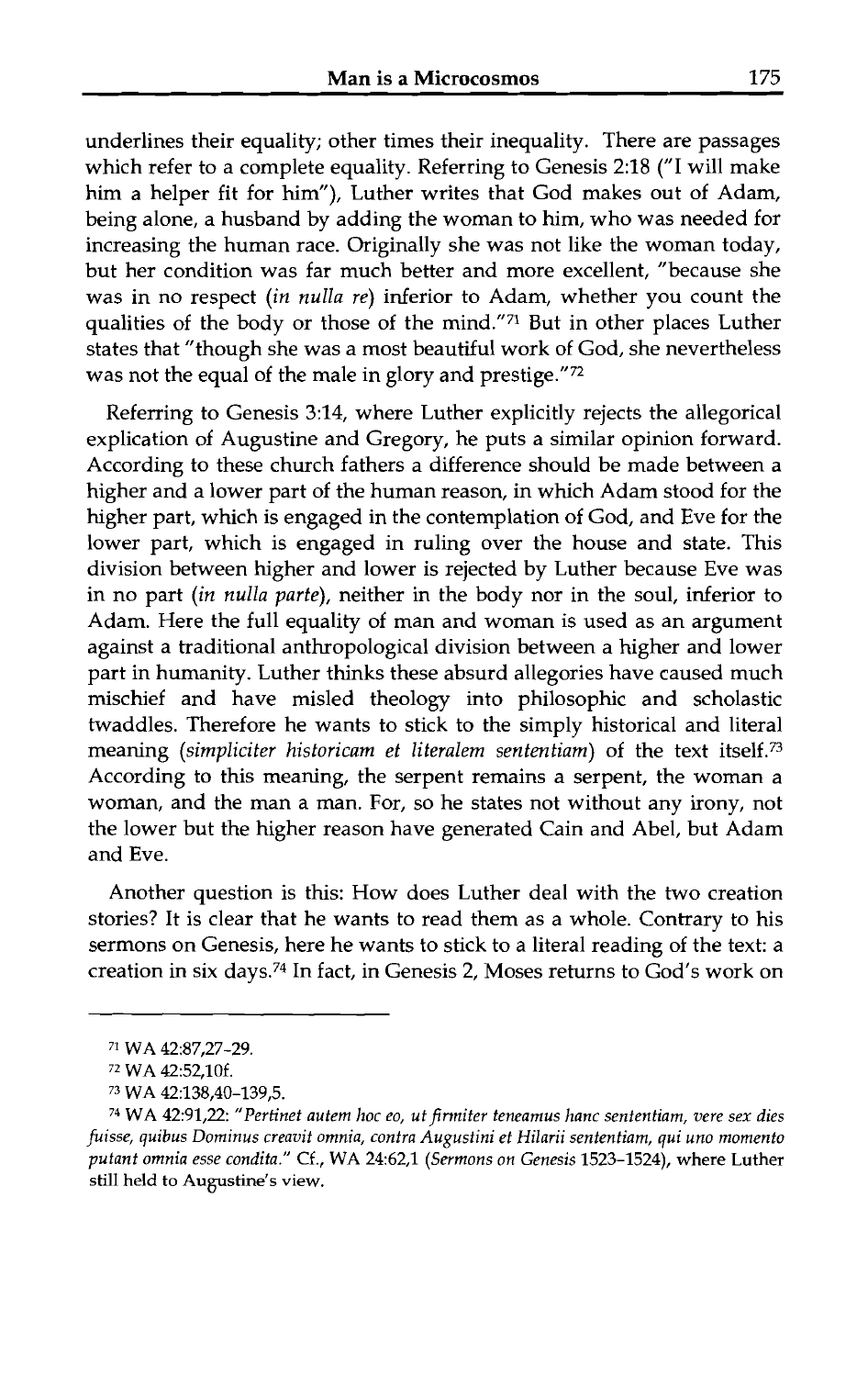underlines their equality; other times their inequality. There are passages which refer to a complete equality. Referring to Genesis 2:18 ("I will make him a helper fit for him"), Luther writes that God makes out of Adam, being alone, a husband by adding the woman to him, who was needed for increasing the human race. Originally she was not like the woman today, but her condition was far much better and more excellent, "because she was in no respect *(in nulla re)* inferior to Adam, whether you count the qualities of the body or those of the mind."71 But in other places Luther states that "though she was a most beautiful work of God, she nevertheless was not the equal of the male in glory and prestige."72

Referring to Genesis 3:14, where Luther explicitly rejects the allegorical explication of Augustine and Gregory, he puts a similar opinion forward. According to these church fathers a difference should be made between a higher and a lower part of the human reason, in which Adam stood for the higher part, which is engaged in the contemplation of God, and Eve for the lower part, which is engaged in ruling over the house and state. This division between higher and lower is rejected by Luther because Eve was in no part *(in nulla parte),* neither in the body nor in the soul, inferior to Adam. Here the full equality of man and woman is used as an argument against a traditional anthropological division between a higher and lower part in humanity. Luther thinks these absurd allegories have caused much mischief and have misled theology into philosophic and scholastic twaddles. Therefore he wants to stick to the simply historical and literal meaning *(simpliciter historicam et literalem sententiam)* of the text itself." According to this meaning, the serpent remains a serpent, the woman a woman, and the man a man. For, so he states not without any irony, not the lower but the higher reason have generated Cain and Abel, but Adam and Eve.

Another question is this: How does Luther deal with the two creation stories? It is clear that he wants to read them as a whole. Contrary to his sermons on Genesis, here he wants to stick to a literal reading of the text: a creation in six days.74 In fact, in Genesis 2, Moses returns to God's work on

<sup>71</sup>**WA 42:87,27-29.** 

<sup>72</sup>**WA 42:52,10f.** 

*<sup>73</sup>***WA 42:138,40-139,5.** 

<sup>&</sup>lt;sup>74</sup> WA 42:91,22: "Pertinet autem hoc eo, ut firmiter teneamus hanc sententiam, vere sex dies *fuisse, quibus Dominus creavit omnia, contra Augustini et Hilarii sententiarn, qui uno momento putant omnia esse condita."* **Cf., WA 24:62,1** *(Sermons on Genesis* **1523-1524), where Luther still held to Augustine's view.**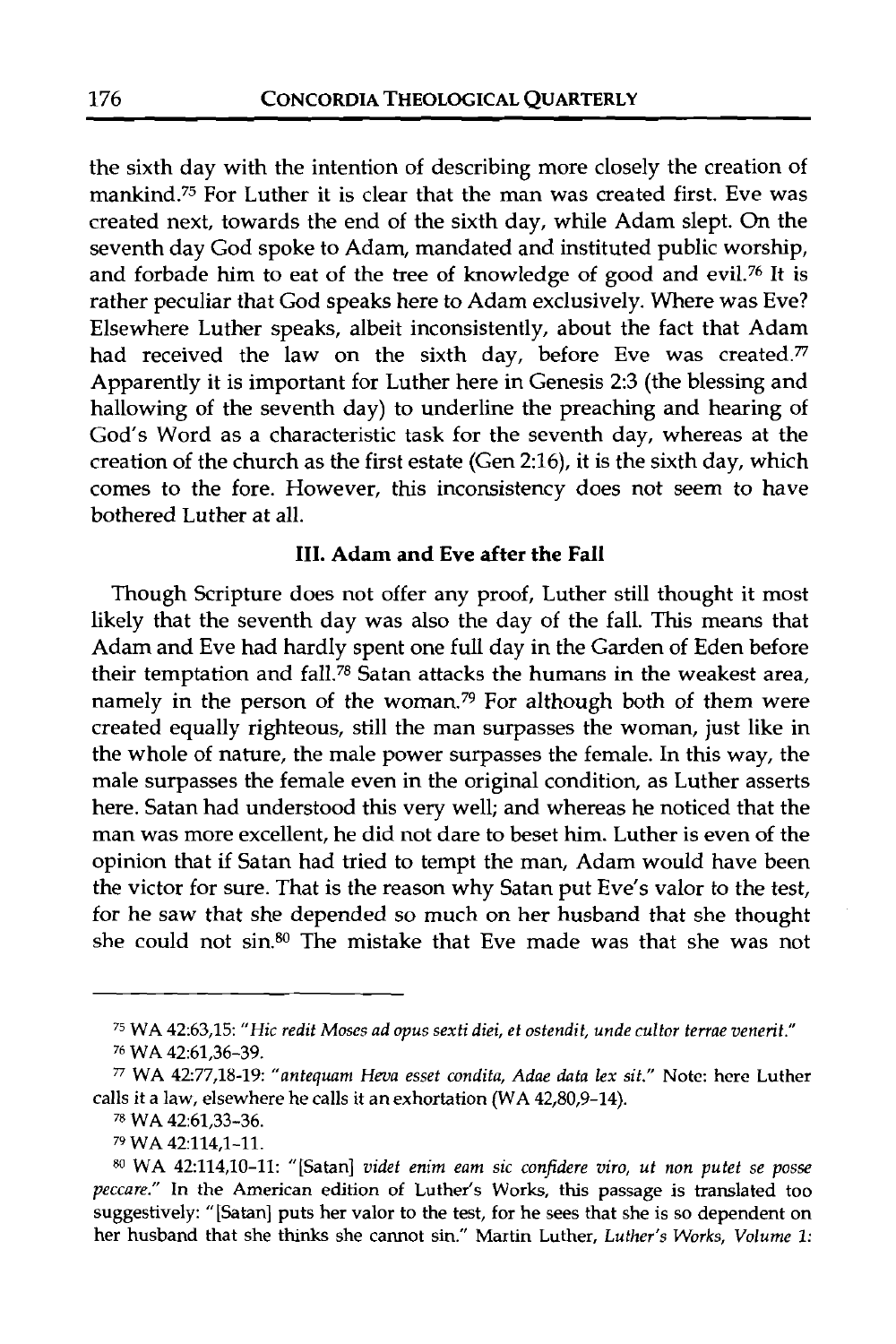the sixth day with the intention of describing more closely the creation of mankind.75 For Luther it is clear that the man was created first. Eve was created next, towards the end of the sixth day, while Adam slept. On the seventh day God spoke to Adam, mandated and instituted public worship, and forbade him to eat of the tree of knowledge of good and evil.76 It is rather peculiar that God speaks here to Adam exclusively. Where was Eve? Elsewhere Luther speaks, albeit inconsistently, about the fact that Adam had received the law on the sixth day, before Eve was created. $\frac{7}{7}$ Apparently it is important for Luther here in Genesis 2:3 (the blessing and hallowing of the seventh day) to underline the preaching and hearing of God's Word as a characteristic task for the seventh day, whereas at the creation of the church as the first estate (Gen 2:16), it is the sixth day, which comes to the fore. However, this inconsistency does not seem to have bothered Luther at all.

#### **111. Adam and Eve after the Fall**

Though Scripture does not offer any proof, Luther still thought it most likely that the seventh day was also the day of the fall. This means that Adam and Eve had hardly spent one full day in the Garden of Eden before their temptation and fall.<sup>78</sup> Satan attacks the humans in the weakest area, namely in the person of the woman.<sup>79</sup> For although both of them were created equally righteous, still the man surpasses the woman, just like in the whole of nature, the male power surpasses the female. In this way, the male surpasses the female even in the original condition, as Luther asserts here. Satan had understood this very well; and whereas he noticed that the man was more excellent, he did not dare to beset him. Luther is even of the opinion that if Satan had tried to tempt the man, Adam would have been the victor for sure. That is the reason why Satan put Eve's valor to the test, for he saw that she depended so much on her husband that she thought she could not sin.80 The mistake that Eve made was that she was not

<sup>75</sup>WA 42:63,15: *"Hic redit Moses ad opus sexti diei, et ostendit, unde cultor terrae venerit."* 

<sup>76</sup>WA 42:61,36-39.

n WA 42:77,18-19: *"antequam Heva esset condifa, Adae data lex sit."* Note: here Luther calls it a law, elsewhere he calls it an exhortation (WA 42,80,9-14).

<sup>78</sup>WA 42:61,33-36.

<sup>79</sup> WA 42:114,1-11.

**<sup>80</sup>**WA 42:114,10-11: "[Satan] *videf enim eam sic confidere viro, ut non putef se posse peccare."* In the American edition of Luther's Works, this passage is translated too suggestively: "[Satan] puts her valor to the test, for he sees that she is so dependent on her husband that she thinks she cannot sin." Martin Luther, *Luther's Works, Volume 1:*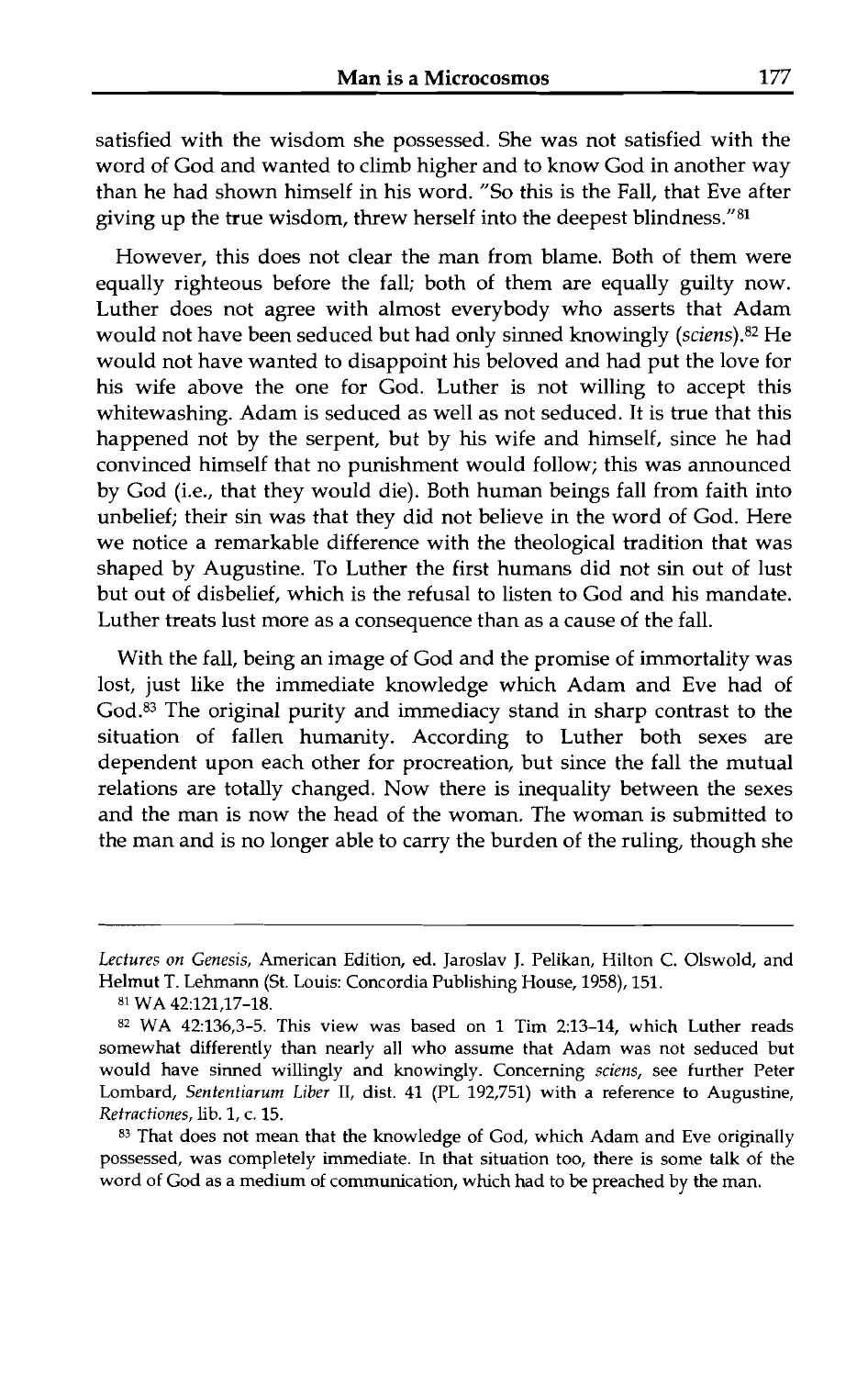satisfied with the wisdom she possessed. She was not satisfied with the word of God and wanted to climb higher and to know God in another way than he had shown himself in his word. "So this is the Fall, that Eve after giving up the true wisdom, threw herself into the deepest blindness."81

However, this does not clear the man from blame. Both of them were equally righteous before the fall; both of them are equally guilty now. Luther does not agree with almost everybody who asserts that Adam would not have been seduced but had only sinned knowingly (sciens).82 He would not have wanted to disappoint his beloved and had put the love for his wife above the one for God. Luther is not willing to accept this whitewashing. Adam is seduced as well as not seduced. It is true that this happened not by the serpent, but by his wife and himself, since he had convinced himself that no punishment would follow; this was announced by God (i.e., that they would die). Both human beings fall from faith into unbelief; their sin was that they did not believe in the word of God. Here we notice a remarkable difference with the theological tradition that was shaped by Augustine. To Luther the first humans did not sin out of lust but out of disbelief, which is the refusal to listen to God and his mandate. Luther treats lust more as a consequence than as a cause of the fall.

With the fall, being an image of God and the promise of immortality was lost, just like the immediate knowledge which Adam and Eve had of God.<sup>83</sup> The original purity and immediacy stand in sharp contrast to the situation of fallen humanity. According to Luther both sexes are dependent upon each other for procreation, but since the fall the mutual relations are totally changed. Now there is inequality between the sexes and the man is now the head of the woman. The woman is submitted to the man and is no longer able to carry the burden of the ruling, though she

8' WA 42:121,17-18.

*Lectures on Genesis,* American Edition, ed. Jaroslav J. Pelikan, Hilton C. Olswold, and Helmut T. Lehmam (St. Louis: Concordia Publishing House, 1958), 151.

**<sup>82</sup>**WA 42:136,3-5. This view was based on 1 Tim 2:13-14, which Luther reads somewhat differently than nearly all who assume that Adam was not seduced but would have sinned willingly and knowingly. Concerning *sciens,* see further Peter Lombard, *Sententiarum Liber* 11, dist. 41 (PL 192,751) with a reference to Augustine, *Retractiones,* lib. 1, c. 15.

**<sup>83</sup>**That does not mean that the knowledge of God, which Adam and Eve originally possessed, was completely immediate. In that situation too, there is some talk of the word of God as a medium of communication, which had to be preached by the man.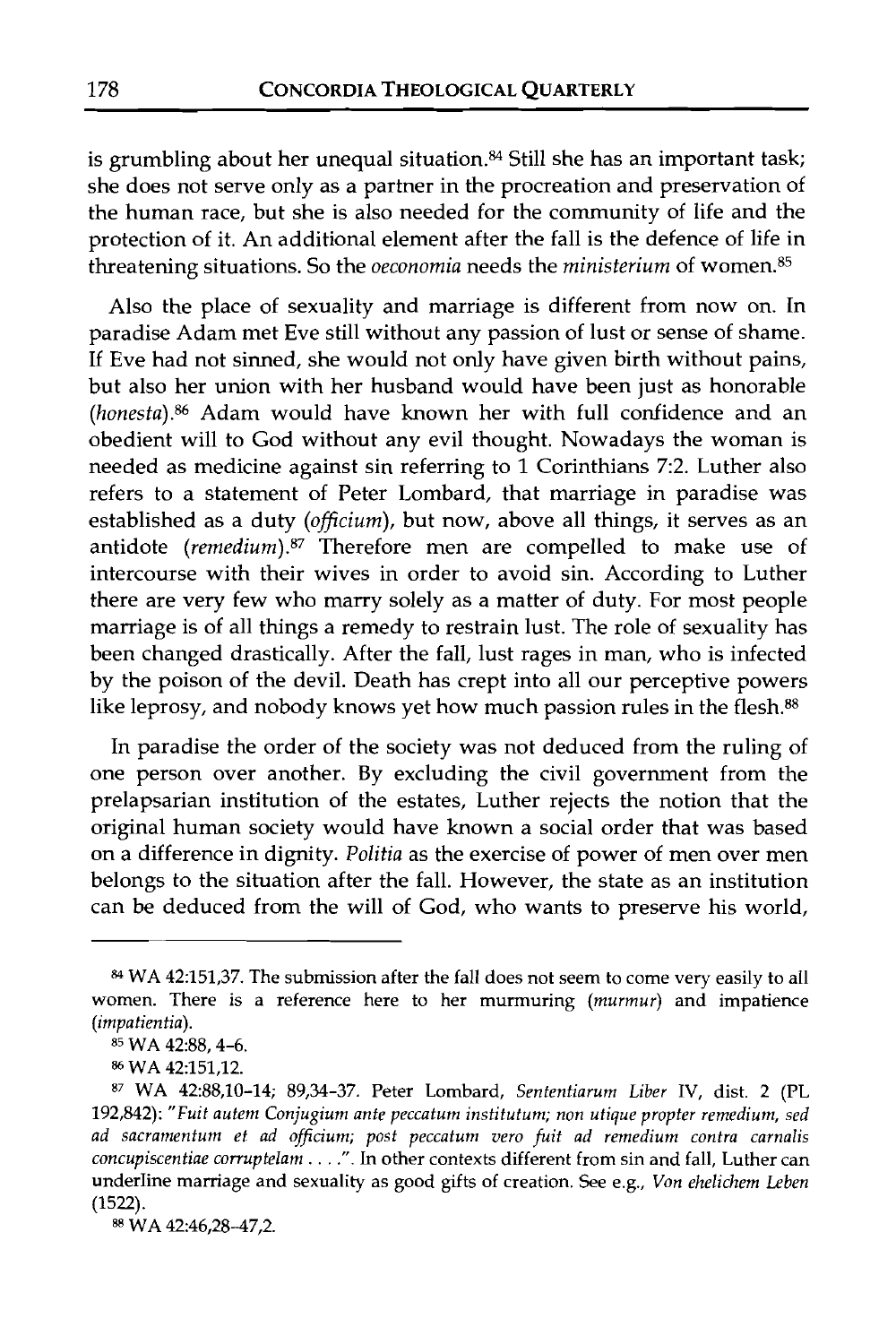is grumbling about her unequal situation.<sup>84</sup> Still she has an important task; she does not serve only as a partner in the procreation and preservation of the human race, but she is also needed for the community of life and the protection of it. An additional element after the fall is the defence of life in threatening situations. So the *oeconomia* needs the *ministerium* of women. $85$ 

Also the place of sexuality and marriage is different from now on. In paradise Adam met Eve still without any passion of lust or sense of shame. If Eve had not sinned, she would not only have given birth without pains, but also her union with her husband would have been just as honorable (honesta).86 Adam would have known her with full confidence and an obedient will to God without any evil thought. Nowadays the woman is needed as medicine against sin referring to 1 Corinthians 7:2. Luther also refers to a statement of Peter Lombard, that marriage in paradise was established as a duty (officium), but now, above all things, it serves as an antidote (remedium).<sup>87</sup> Therefore men are compelled to make use of intercourse with their wives in order to avoid sin. According to Luther there are very few who marry solely as a matter of duty. For most people marriage is of all things a remedy to restrain lust. The role of sexuality has been changed drastically. After the fall, lust rages in man, who is infected by the poison of the devil. Death has crept into all our perceptive powers like leprosy, and nobody knows yet how much passion rules in the flesh.<sup>88</sup>

In paradise the order of the society was not deduced from the ruling of one person over another. By excluding the civil government from the prelapsarian institution of the estates, Luther rejects the notion that the original human society would have known a social order that was based on a difference in dignity. Politia as the exercise of power of men over men belongs to the situation after the fall. However, the state as an institution can be deduced from the will of God, who wants to preserve his world,

88 WA 42:46,28-47,2.

**<sup>84</sup>WA** *42:151,37.* The submission after the fall does not seem to come very easily to all women. There is a reference here to her murmuring *(murmur)* and impatience *(impatientia).* 

<sup>85</sup> **WA** *42:88,4-6.* 

**<sup>86</sup> WA** *42:151,12.* 

<sup>87</sup>**WA** *42:88,10-14; 89,3437.* Peter Lombard, *Sententiarum Liber* IV, dist. *2* (PL *192,842): "Fuit autem Conjugium ante peccaturn instituturn; non utique propter remedium, sed ad sacranlenturn et ad ojjicium; post peccatun~ vero fuit ad remedium contra carnalis concupiscentiae corruptelam . . . ."* . In other contexts different from sin and fall, Luther can underline marriage and sexuality as good gifts of creation. See e.g., *Von ehelichem Leben (1522).*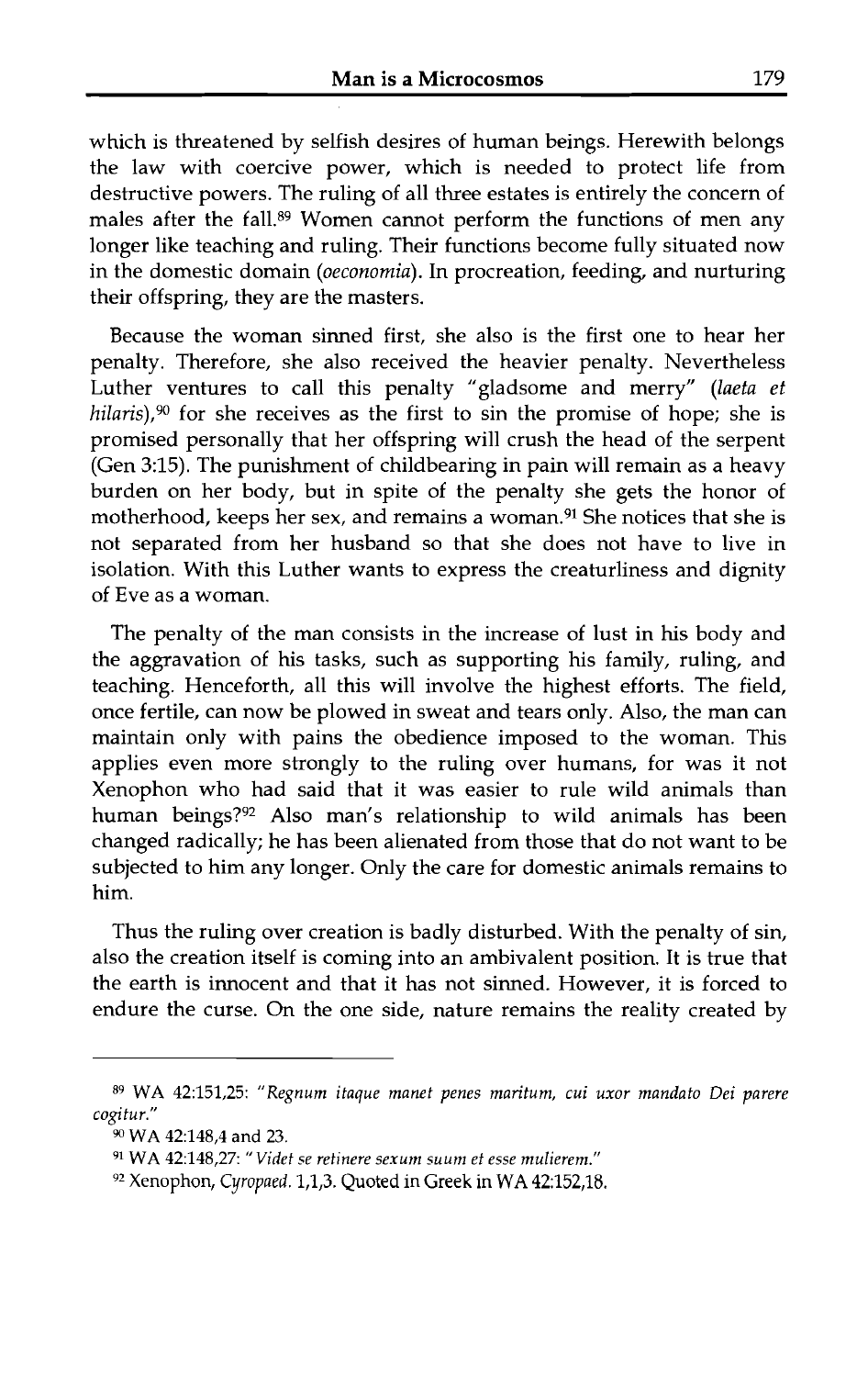which is threatened by selfish desires of human beings. Herewith belongs the law with coercive power, which is needed to protect life from destructive powers. The ruling of all three estates is entirely the concern of males after the fall.<sup>89</sup> Women cannot perform the functions of men any longer like teaching and ruling. Their functions become fully situated now in the domestic domain (oeconomia). In procreation, feeding, and nurturing their offspring, they are the masters.

Because the woman sinned first, she also is the first one to hear her penalty. Therefore, she also received the heavier penalty. Nevertheless Luther ventures to call this penalty "gladsome and merry" (laeta et hilaris), $90$  for she receives as the first to sin the promise of hope; she is promised personally that her offspring will crush the head of the serpent (Gen 3:15). The punishment of childbearing in pain will remain as a heavy burden on her body, but in spite of the penalty she gets the honor of motherhood, keeps her sex, and remains a woman.91 She notices that she is not separated from her husband so that she does not have to live in isolation. With this Luther wants to express the creaturliness and dignity of Eve as a woman.

The penalty of the man consists in the increase of lust in his body and the aggravation of his tasks, such as supporting his family, ruling, and teaching. Henceforth, all this will involve the highest efforts. The field, once fertile, can now be plowed in sweat and tears only. Also, the man can maintain only with pains the obedience imposed to the woman. This applies even more strongly to the ruling over humans, for was it not Xenophon who had said that it was easier to rule wild animals than human beings?92 Also man's relationship to wild animals has been changed radically; he has been alienated from those that do not want to be subjected to him any longer. Only the care for domestic animals remains to him.

Thus the ruling over creation is badly disturbed. With the penalty of sin, also the creation itself is coming into an ambivalent position. It is true that the earth is innocent and that it has not sinned. However, it is forced to endure the curse. On the one side, nature remains the reality created by

**<sup>89</sup>WA 42:151,25:** *"Regnum itaque manet penes maritum, cui uxor mandato Dei parere cogitur."* 

<sup>90</sup>**WA 42:148,4 and 23.** 

**<sup>91</sup> WA 42:148,27:** *"Videt se retinere sexum suum et esse mulierem."* 

<sup>92</sup> Xenophon, Cyropaed. **1,1,3.** Quoted in Greek in WA **42:152,18.**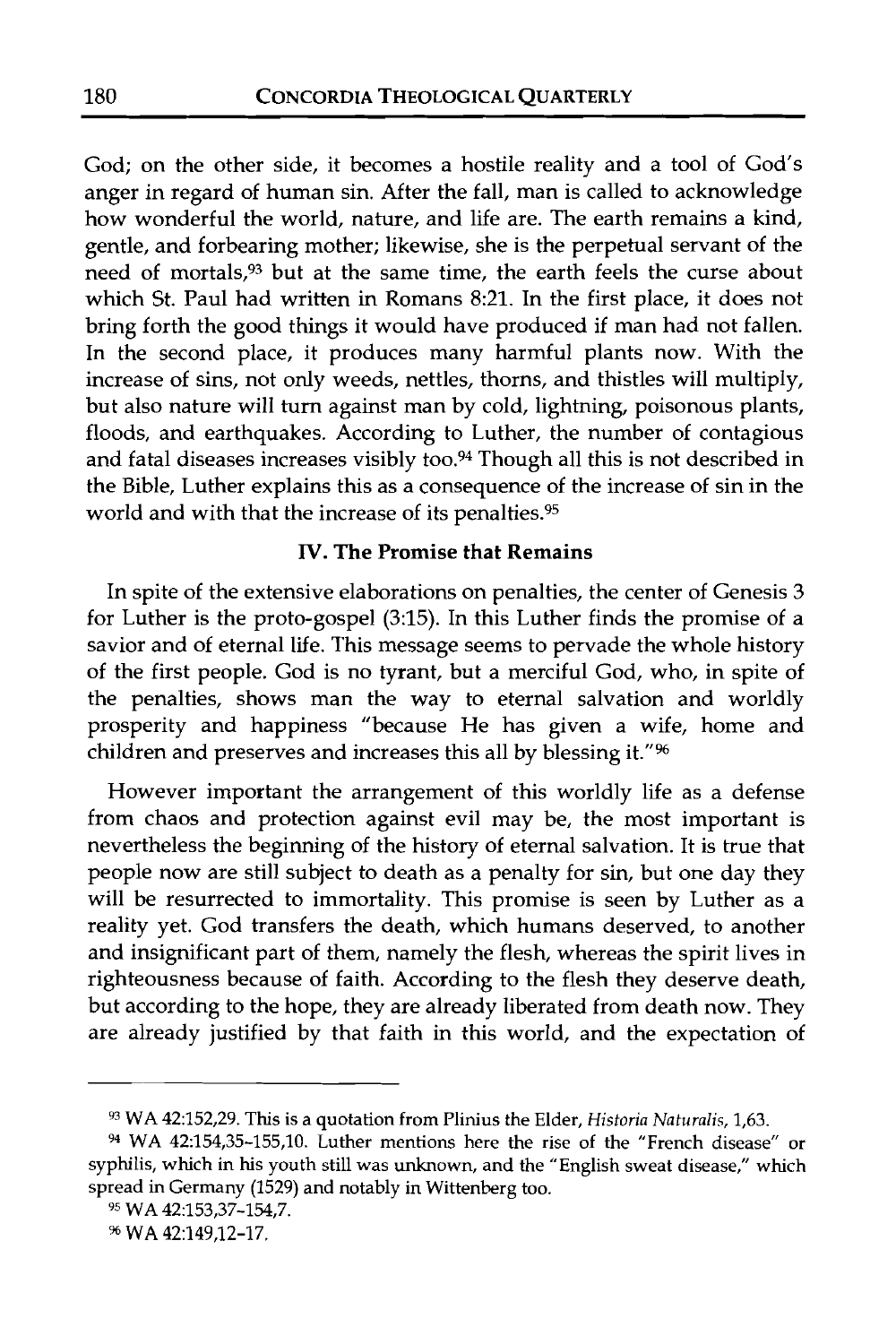God; on the other side, it becomes a hostile reality and a tool of God's anger in regard of human sin. After the fall, man is called to acknowledge how wonderful the world, nature, and life are. The earth remains a kind, gentle, and forbearing mother; likewise, she is the perpetual servant of the need of mortals,93 but at the same time, the earth feels the curse about which St. Paul had written in Romans 8:21. In the first place, it does not bring forth the good things it would have produced if man had not fallen. In the second place, it produces many harmful plants now. With the increase of sins, not only weeds, nettles, thorns, and thistles will multiply, but also nature will turn against man by cold, lightning, poisonous plants, floods, and earthquakes. According to Luther, the number of contagious and fatal diseases increases visibly too.<sup>94</sup> Though all this is not described in the Bible, Luther explains this as a consequence of the increase of sin in the world and with that the increase of its penalties.95

### **IV. The Promise that Remains**

In spite of the extensive elaborations on penalties, the center of Genesis 3 for Luther is the proto-gospel (3:15). In this Luther finds the promise of a savior and of eternal life. This message seems to pervade the whole history of the first people. God is no tyrant, but a merciful God, who, in spite of the penalties, shows man the way to eternal salvation and worldly prosperity and happiness "because He has given a wife, home and children and preserves and increases this all by blessing it."<sup>96</sup>

However important the arrangement of this worldly life as a defense from chaos and protection against evil may be, the most important is nevertheless the beginning of the history of eternal salvation. It is true that people now are still subject to death as a penalty for sin, but one day they will be resurrected to immortality. This promise is seen by Luther as a reality yet. God transfers the death, which humans deserved, to another and insignificant part of them, namely the flesh, whereas the spirit lives in righteousness because of faith. According to the flesh they deserve death, but according to the hope, they are already liberated from death now. They are already justified by that faith in this world, and the expectation of

<sup>93</sup> WA 42:152,29. This is a quotation from Plinius the Elder, *Historia Naturalis,* 1,63.

*<sup>94</sup>*WA 42:154,35-155,lO. Luther mentions here the rise of the "French disease" or syphilis, which in his youth still was unknown, and the "English sweat disease," which spread in Germany (1529) and notably in Wittenberg too.

**<sup>95</sup>**WA 42:153,37-154,7.

<sup>%</sup> **WA 42:149,12-17.**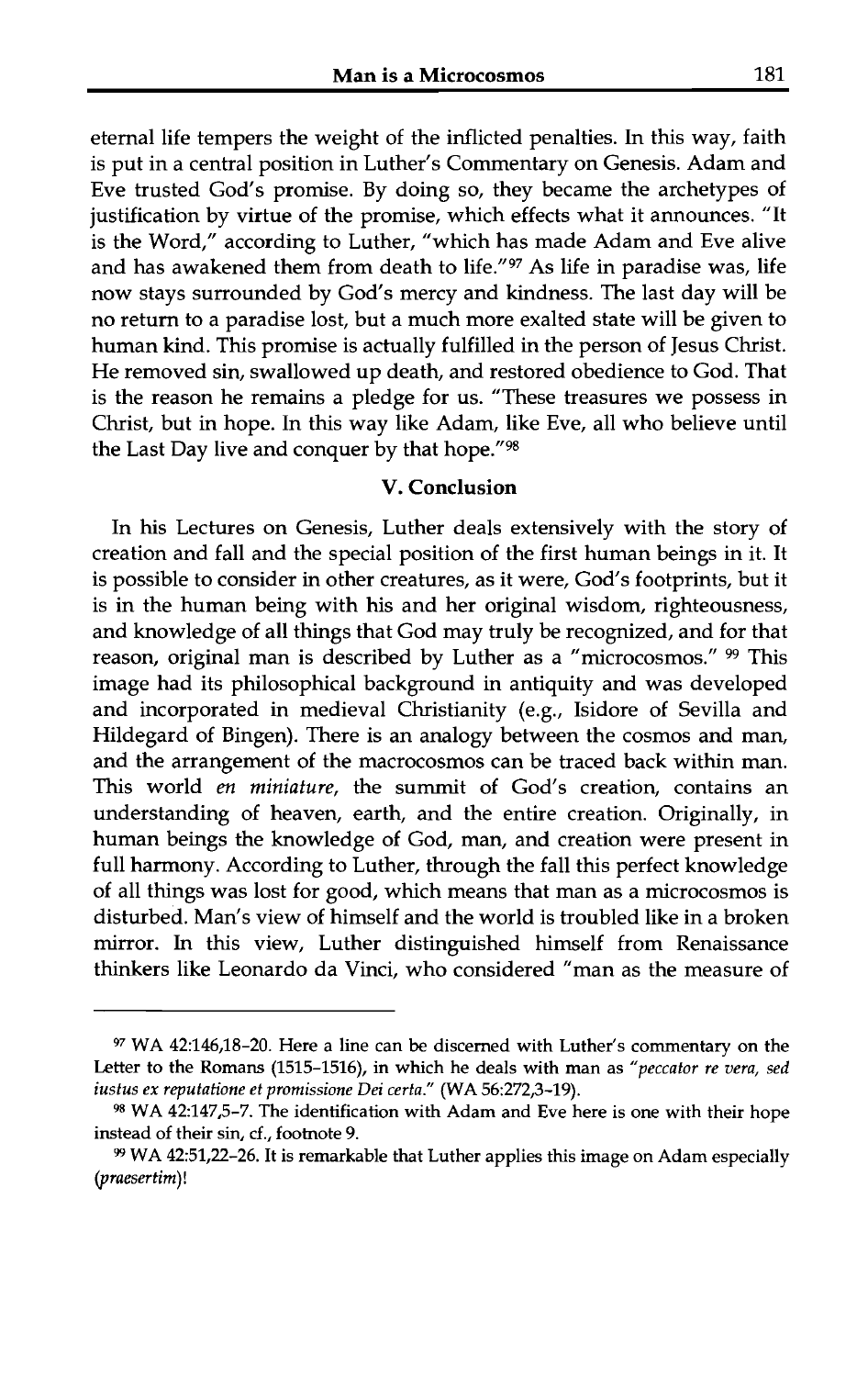eternal life tempers the weight of the inflicted penalties. In this way, faith is put in a central position in Luther's Commentary on Genesis. Adam and Eve trusted God's promise. By doing so, they became the archetypes of justification by virtue of the promise, which effects what it announces. "It is the Word," according to Luther, "which has made Adam and Eve alive and has awakened them from death to life."97 As life in paradise was, life now stays surrounded by God's mercy and kindness. The last day will be no return to a paradise lost, but a much more exalted state will be given to human kind. This promise is actually fulfilled in the person of Jesus Christ. He removed sin, swallowed up death, and restored obedience to God. That is the reason he remains a pledge for us. "These treasures we possess in Christ, but in hope. In this way like Adam, like Eve, all who believe until the Last Day live and conquer by that hope."98

#### V. Conclusion

In his Lectures on Genesis, Luther deals extensively with the story of creation and fall and the special position of the first human beings in it. It is possible to consider in other creatures, as it were, God's footprints, but it is in the human being with his and her original wisdom, righteousness, and knowledge of all things that God may truly be recognized, and for that reason, original man is described by Luther as a "microcosmos." 99 This image had its philosophical background in antiquity and was developed and incorporated in medieval Christianity (e.g., Isidore of Sevilla and Hildegard of Bingen). There is an analogy between the cosmos and man, and the arrangement of the macrocosmos can be traced back within man. This world en **miniature,** the summit of God's creation, contains an understanding of heaven, earth, and the entire creation. Originally, in human beings the knowledge of God, man, and creation were present in full harmony. According to Luther, through the fall this perfect knowledge of all things was lost for good, which means that man as a microcosmos is disturbed. Man's view of himself and the world is troubled like in a broken mirror. In this view, Luther distinguished himself from Renaissance thinkers like Leonardo da Vinci, who considered "man as the measure of

**<sup>97</sup> WA 42:146,18-20. Here a line can be discerned with Luther's commentary on the**  Letter to the Romans (1515-1516), in which he deals with man as "peccator re vera, sed *iustus ex reputatione et promissione Dei certa."* **(WA 56:272,3-19).** 

**<sup>98</sup>WA 42:147,5-7. The identification with Adam and Eve here is one with their hope instead of their sin, cf., footnote 9.** 

**WA 42:51,22-26. It is remarkable that Luther applies this image on Adam especially**  *(praesertim)!*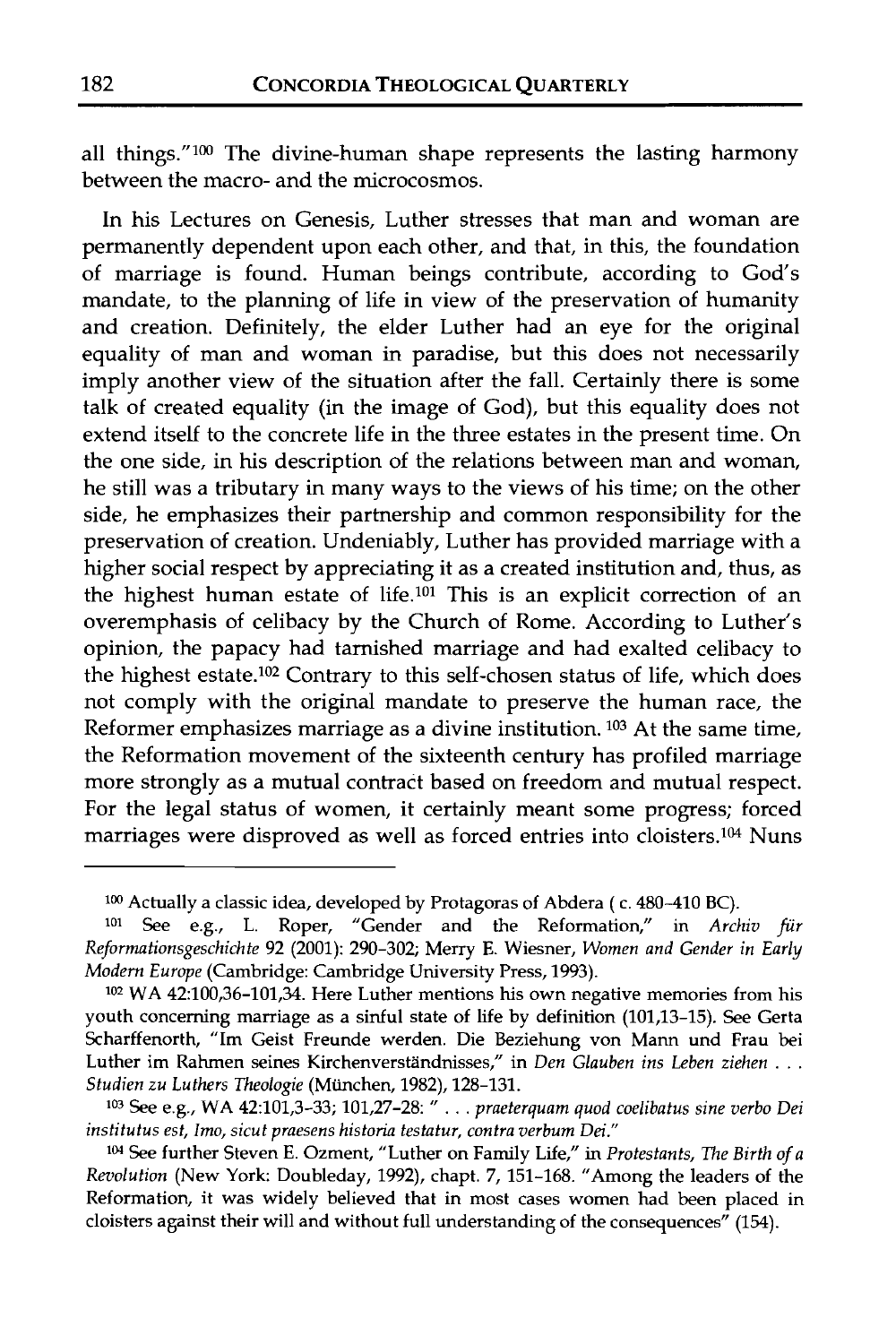all things." $100$  The divine-human shape represents the lasting harmony between the macro- and the microcosmos.

In his Lectures on Genesis, Luther stresses that man and woman are permanently dependent upon each other, and that, in this, the foundation of marriage is found. Human beings contribute, according to God's mandate, to the planning of life in view of the preservation of humanity and creation. Definitely, the elder Luther had an eye for the original equality of man and woman in paradise, but this does not necessarily imply another view of the situation after the fall. Certainly there is some talk of created equality (in the image of God), but this equality does not extend itself to the concrete life in the three estates in the present time. On the one side, in his description of the relations between man and woman, he still was a tributary in many ways to the views of his time; on the other side, he emphasizes their partnership and common responsibility for the preservation of creation. Undeniably, Luther has provided marriage with a higher social respect by appreciating it as a created institution and, thus, as the highest human estate of life.<sup>101</sup> This is an explicit correction of an overemphasis of celibacy by the Church of Rome. According to Luther's opinion, the papacy had tarnished marriage and had exalted celibacy to the highest estate.<sup>102</sup> Contrary to this self-chosen status of life, which does not comply with the original mandate to preserve the human race, the Reformer emphasizes marriage as a divine institution. 103 At the same time, the Reformation movement of the sixteenth century has profiled marriage more strongly as a mutual contract based on freedom and mutual respect. For the legal status of women, it certainly meant some progress; forced marriages were disproved as well as forced entries into cloisters.104 Nuns

**<sup>1</sup>W** Actually a classic idea, developed by Protagoras of Abdera ( c. 480-410 BC).

**<sup>101</sup>**See e.g., L. Roper, "Gender and the Reformation," in *Archiv fur Reformationsgeschichte* 92 (2001): 290-302; Merry E. Wiesner, *Women and Gender in Early Modem Europe* (Cambridge: Cambridge University Press, 1993).

**lo2** WA 42:100,36-101,34. Here Luther mentions his own negative memories from his youth concerning marriage as a sinful state of life by definition (101,13-15). See Gerta Scharffenorth, "Im Geist Freunde werden. Die Beziehung von Mann und Frau bei Luther im Rahmen seines Kirchenverständnisses," in Den Glauben ins Leben ziehen . . . *Studien zu Luthers 7'heologie* (Miinchen, 1982), 128-131.

**<sup>1°3</sup>** See e.g., WA 42:101,3-33; 101,27-28: " . . . *praeterquam quod coelibatus sine verbo Dei institutus est, Imo, sicut praesens historia testatur, contra verbum Dei."* 

See further Steven E. Ozment, "Luther on Family Life," in *Protestants, 7'he Birth of a Revolution* (New York: Doubleday, 1992), chapt. 7, 151-168. "Among the leaders of the Reformation, it was widely believed that in most cases women had been placed in cloisters against their will and without full understanding of the consequences" (154).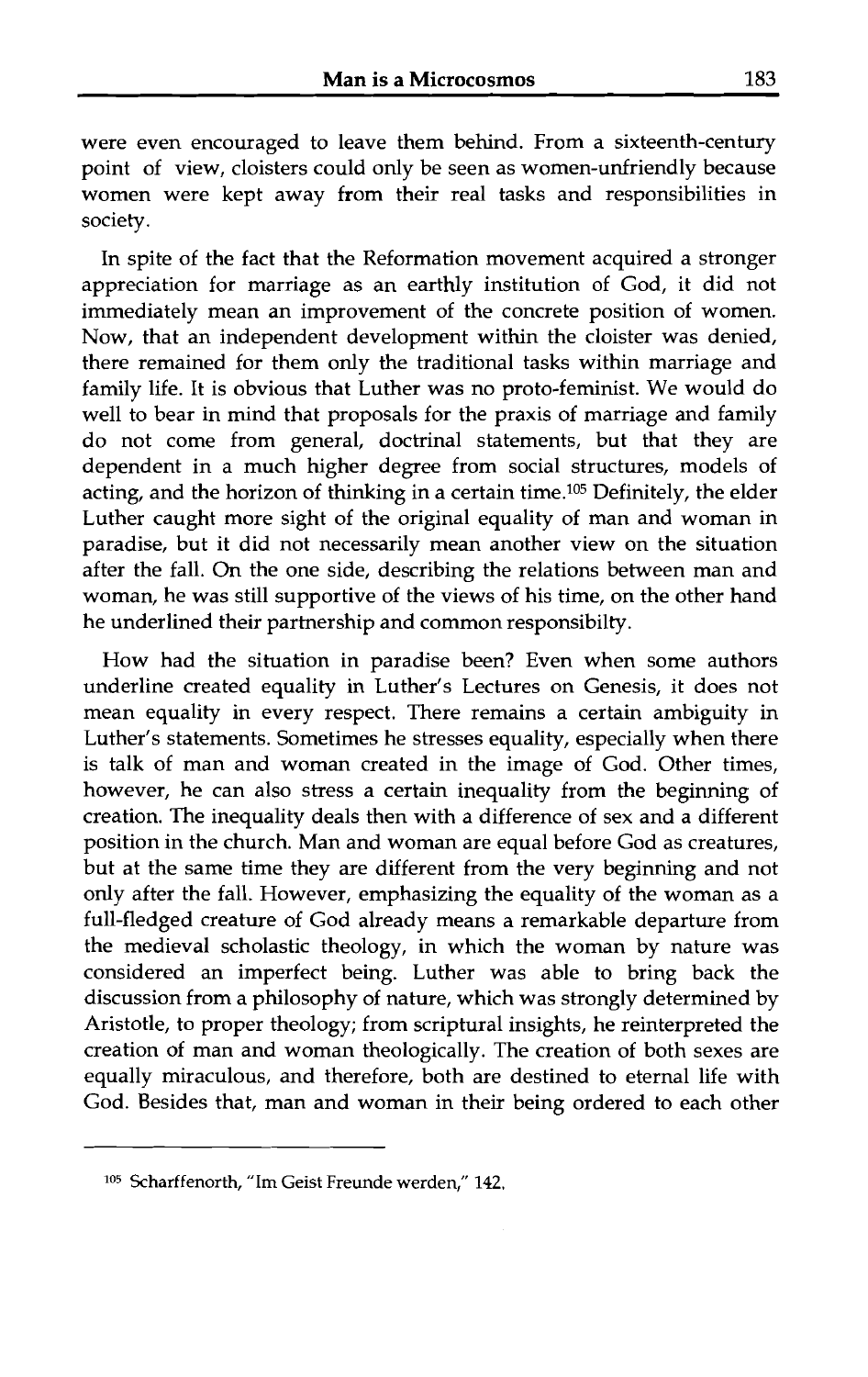were even encouraged to leave them behind. From a sixteenth-century point of view, cloisters could only be seen as women-unfriendly because women were kept away from their real tasks and responsibilities in society.

In spite of the fact that the Reformation movement acquired a stronger appreciation for marriage as an earthly institution of God, it did not immediately mean an improvement of the concrete position of women. Now, that an independent development within the cloister was denied, there remained for them only the traditional tasks within marriage and family life. It is obvious that Luther was no proto-feminist. We would do well to bear in mind that proposals for the praxis of marriage and family do not come from general, doctrinal statements, but that they are dependent in a much higher degree from social structures, models of acting, and the horizon of thinking in a certain time.105 Definitely, the elder Luther caught more sight of the original equality of man and woman in paradise, but it did not necessarily mean another view on the situation after the fall. **On** the one side, describing the relations between man and woman, he was still supportive of the views of his time, on the other hand he underlined their partnership and common responsibilty.

How had the situation in paradise been? Even when some authors underline created equality in Luther's Lectures on Genesis, it does not mean equality in every respect. There remains a certain ambiguity in Luther's statements. Sometimes he stresses equality, especially when there is talk of man and woman created in the image of God. Other times, however, he can also stress a certain inequality from the beginning of creation. The inequality deals then with a difference of sex and a different position in the church. Man and woman are equal before God as creatures, but at the same time they are different from the very beginning and not only after the fall. However, emphasizing the equality of the woman as a full-fledged creature of God already means a remarkable departure from the medieval scholastic theology, in which the woman by nature was considered an imperfect being. Luther was able to bring back the discussion from a philosophy of nature, which was strongly determined by Aristotle, to proper theology; from scriptural insights, he reinterpreted the creation of man and woman theologically. The creation of both sexes are equally miraculous, and therefore, both are destined to eternal life with God. Besides that, man and woman in their being ordered to each other

**<sup>&#</sup>x27;05** Scharffenorth, "Im Geist Freunde werden," 142.